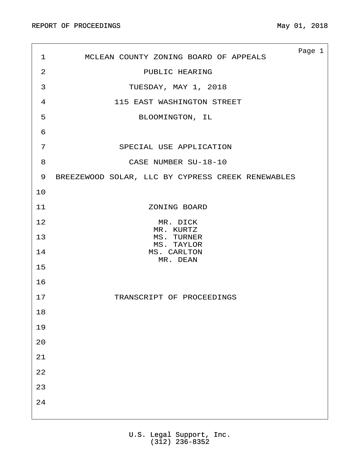| 1              | MCLEAN COUNTY ZONING BOARD OF APPEALS             | Page 1 |  |
|----------------|---------------------------------------------------|--------|--|
| 2              | PUBLIC HEARING                                    |        |  |
| 3              | TUESDAY, MAY 1, 2018                              |        |  |
| $\overline{4}$ | 115 EAST WASHINGTON STREET                        |        |  |
| 5              | BLOOMINGTON, IL                                   |        |  |
| 6              |                                                   |        |  |
| 7              | SPECIAL USE APPLICATION                           |        |  |
| 8              | CASE NUMBER SU-18-10                              |        |  |
| 9              | BREEZEWOOD SOLAR, LLC BY CYPRESS CREEK RENEWABLES |        |  |
| 10             |                                                   |        |  |
| 11             | ZONING BOARD                                      |        |  |
| 12             | MR. DICK<br>MR. KURTZ                             |        |  |
| 13             | MS. TURNER<br>MS. TAYLOR                          |        |  |
| 14             | MS. CARLTON<br>MR. DEAN                           |        |  |
| 15             |                                                   |        |  |
| 16             |                                                   |        |  |
| 17             | TRANSCRIPT OF PROCEEDINGS                         |        |  |
| 18             |                                                   |        |  |
| 19             |                                                   |        |  |
| 20             |                                                   |        |  |
| $2\sqrt{1}$    |                                                   |        |  |
| 22             |                                                   |        |  |
| 23             |                                                   |        |  |
| $2\sqrt{4}$    |                                                   |        |  |
|                |                                                   |        |  |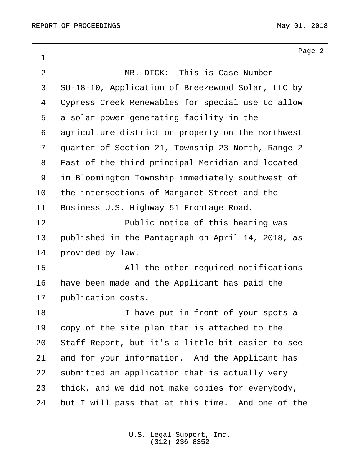<span id="page-1-0"></span>Page 2 ·1 ·2· · · · · · · · MR. DICK:· This is Case Number 3 SU-18-10, Application of Breezewood Solar, LLC by 4 Cypress Creek Renewables for special use to allow 5 a solar power generating facility in the 6 agriculture district on property on the northwest 7 quarter of Section 21, Township 23 North, Range 2 8 East of the third principal Meridian and located 9 in Bloomington Township immediately southwest of 10 the intersections of Margaret Street and the 11 Business U.S. Highway 51 Frontage Road. 12 · · · · · · · · Public notice of this hearing was 13 • published in the Pantagraph on April 14, 2018, as 14 provided by law. 15 all the other required notifications 16 have been made and the Applicant has paid the 17 publication costs. 18 a **1 I have put in front of your spots a** 19 copy of the site plan that is attached to the 20 Staff Report, but it's a little bit easier to see 21 and for your information. And the Applicant has 22 submitted an application that is actually very 23 thick, and we did not make copies for everybody, 24 but I will pass that at this time. And one of the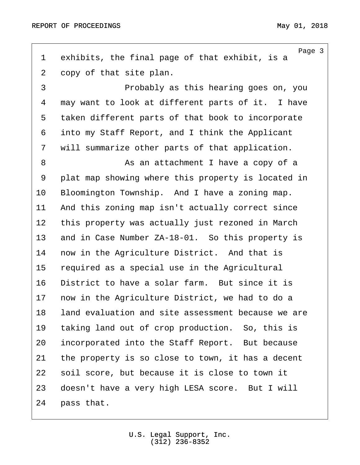<span id="page-2-0"></span>

| $\mathbf 1$    | Page 3<br>exhibits, the final page of that exhibit, is a |
|----------------|----------------------------------------------------------|
| $\overline{2}$ | copy of that site plan.                                  |
| 3              | Probably as this hearing goes on, you                    |
| 4              | may want to look at different parts of it. I have        |
| 5              | taken different parts of that book to incorporate        |
| 6              | into my Staff Report, and I think the Applicant          |
| 7              | will summarize other parts of that application.          |
| 8              | As an attachment I have a copy of a                      |
| 9              | plat map showing where this property is located in       |
| 10             | Bloomington Township. And I have a zoning map.           |
| 11             | And this zoning map isn't actually correct since         |
| 12             | this property was actually just rezoned in March         |
| 13             | and in Case Number ZA-18-01. So this property is         |
| 14             | now in the Agriculture District. And that is             |
| 15             | required as a special use in the Agricultural            |
| 16             | District to have a solar farm. But since it is           |
| 17             | now in the Agriculture District, we had to do a          |
| 18             | land evaluation and site assessment because we are       |
| 19             | taking land out of crop production. So, this is          |
| 20             | incorporated into the Staff Report. But because          |
| 21             | the property is so close to town, it has a decent        |
| 22             | soil score, but because it is close to town it           |
| 23             | doesn't have a very high LESA score. But I will          |
| 24             | pass that.                                               |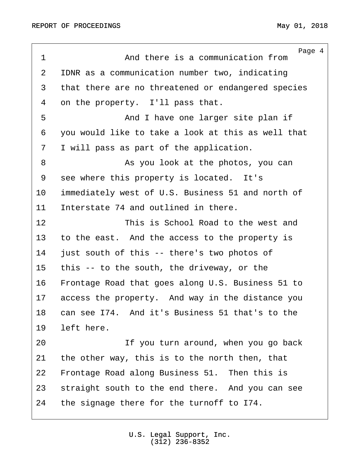<span id="page-3-0"></span>Page 4 1 and there is a communication from 2 IDNR as a communication number two, indicating 3 that there are no threatened or endangered species 4 on the property. I'll pass that. 5 · · · · · · · · · · · · And I have one larger site plan if ·6· ·you would like to take a look at this as well that 7 I will pass as part of the application. ·8· · · · · · · · As you look at the photos, you can 9 see where this property is located. It's 10 immediately west of U.S. Business 51 and north of 11 Interstate 74 and outlined in there. 12 **12** This is School Road to the west and 13 to the east. And the access to the property is 14 just south of this -- there's two photos of 15 this -- to the south, the driveway, or the 16 • Frontage Road that goes along U.S. Business 51 to 17 access the property. And way in the distance you 18 can see I74. And it's Business 51 that's to the 19 left here. 20· · · · · · · · If you turn around, when you go back 21 the other way, this is to the north then, that 22 Frontage Road along Business 51. Then this is 23 straight south to the end there. And you can see 24 the signage there for the turnoff to I74.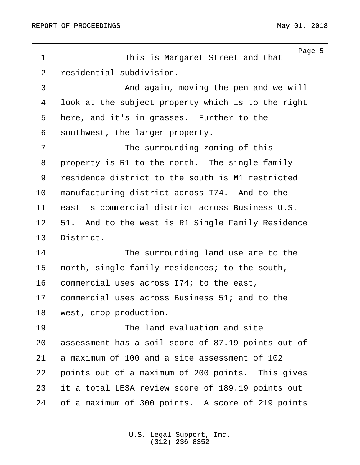<span id="page-4-0"></span>Page 5 1 **1** This is Margaret Street and that 2 residential subdivision. ·3· · · · · · · · And again, moving the pen and we will 4 look at the subject property which is to the right 5 here, and it's in grasses. Further to the 6 southwest, the larger property. 7 · · · · · · · · · The surrounding zoning of this 8 property is R1 to the north. The single family 9 residence district to the south is M1 restricted 10 manufacturing district across I74. And to the 11 east is commercial district across Business U.S. 12 51. And to the west is R1 Single Family Residence 13 District. 14 The surrounding land use are to the 15 north, single family residences; to the south, 16 commercial uses across I74; to the east, 17 commercial uses across Business 51; and to the 18 west, crop production. 19 **19** The land evaluation and site 20 assessment has a soil score of 87.19 points out of 21 a maximum of 100 and a site assessment of 102 22 points out of a maximum of 200 points. This gives 23 it a total LESA review score of 189.19 points out 24 of a maximum of 300 points. A score of 219 points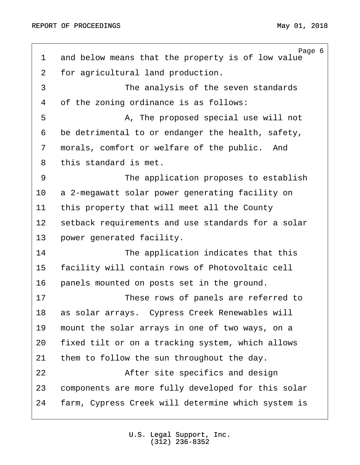<span id="page-5-0"></span>Page 6 1 and below means that the property is of low value 2 for agricultural land production. 3 The analysis of the seven standards 4 of the zoning ordinance is as follows: ·5· · · · · · · · A, The proposed special use will not 6 be detrimental to or endanger the health, safety, 7 morals, comfort or welfare of the public. And 8 this standard is met. 9 The application proposes to establish 10 a 2-megawatt solar power generating facility on 11 this property that will meet all the County 12 setback requirements and use standards for a solar 13 power generated facility. 14 The application indicates that this 15 facility will contain rows of Photovoltaic cell 16 panels mounted on posts set in the ground. 17 These rows of panels are referred to 18 as solar arrays. Cypress Creek Renewables will 19 mount the solar arrays in one of two ways, on a 20 fixed tilt or on a tracking system, which allows 21 them to follow the sun throughout the day. 22 after site specifics and design 23 components are more fully developed for this solar 24 farm, Cypress Creek will determine which system is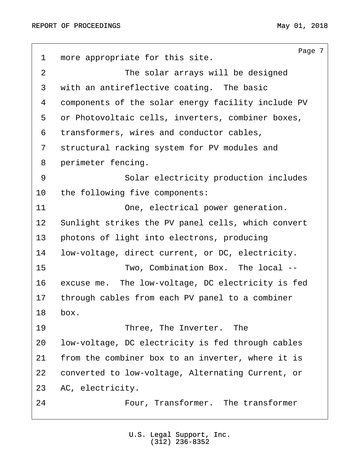<span id="page-6-0"></span>Page 7 1 more appropriate for this site. ·2· · · · · · · · The solar arrays will be designed 3 with an antireflective coating. The basic 4 components of the solar energy facility include PV 5 or Photovoltaic cells, inverters, combiner boxes, ·6· ·transformers, wires and conductor cables, 7 structural racking system for PV modules and 8 perimeter fencing. 9 · · · · · · Solar electricity production includes 10 the following five components: 11 · · · · · One, electrical power generation. 12 Sunlight strikes the PV panel cells, which convert 13 photons of light into electrons, producing 14 low-voltage, direct current, or DC, electricity. 15 · · · · · · · · · Two, Combination Box. The local --16 excuse me. The low-voltage, DC electricity is fed 17 through cables from each PV panel to a combiner 18 box. 19 · · · · · · · · Three, The Inverter. The 20 low-voltage, DC electricity is fed through cables 21 from the combiner box to an inverter, where it is 22 converted to low-voltage, Alternating Current, or 23 AC, electricity. 24 · · · · · · · Four, Transformer. The transformer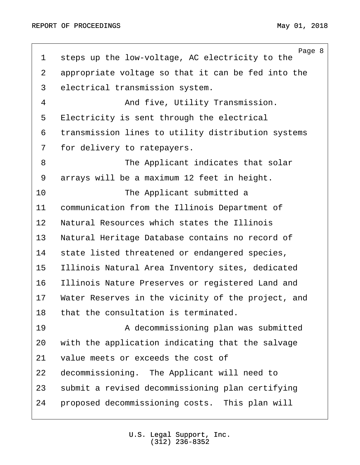<span id="page-7-0"></span>Page 8 1 steps up the low-voltage, AC electricity to the 2 appropriate voltage so that it can be fed into the 3 electrical transmission system. 4 and five, Utility Transmission. 5 Electricity is sent through the electrical 6 transmission lines to utility distribution systems 7 for delivery to ratepayers. 8 · · · · · · · · · The Applicant indicates that solar 9 arrays will be a maximum 12 feet in height. 10 The Applicant submitted a 11 communication from the Illinois Department of 12 Natural Resources which states the Illinois 13 Natural Heritage Database contains no record of 14 state listed threatened or endangered species, 15 Illinois Natural Area Inventory sites, dedicated 16 Illinois Nature Preserves or registered Land and 17 Water Reserves in the vicinity of the project, and 18 that the consultation is terminated. 19 · · · · · · · · · A decommissioning plan was submitted 20 with the application indicating that the salvage 21 value meets or exceeds the cost of 22 decommissioning. The Applicant will need to 23 submit a revised decommissioning plan certifying 24 • proposed decommissioning costs. This plan will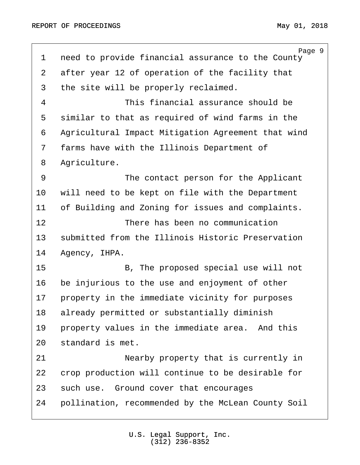<span id="page-8-0"></span>Page 9 1 need to provide financial assurance to the County 2 after year 12 of operation of the facility that 3 the site will be properly reclaimed. ·4· · · · · · · · This financial assurance should be 5 similar to that as required of wind farms in the 6 Agricultural Impact Mitigation Agreement that wind 7 farms have with the Illinois Department of 8 Agriculture. 9 The contact person for the Applicant 10 vill need to be kept on file with the Department 11 of Building and Zoning for issues and complaints. 12 **12** There has been no communication 13 Submitted from the Illinois Historic Preservation 14 Agency, IHPA. 15· · · · · · · · B, The proposed special use will not 16 be injurious to the use and enjoyment of other 17 property in the immediate vicinity for purposes 18 already permitted or substantially diminish 19 • property values in the immediate area. And this 20 standard is met. 21· · · · · · · · Nearby property that is currently in 22 crop production will continue to be desirable for 23 such use. Ground cover that encourages 24 • pollination, recommended by the McLean County Soil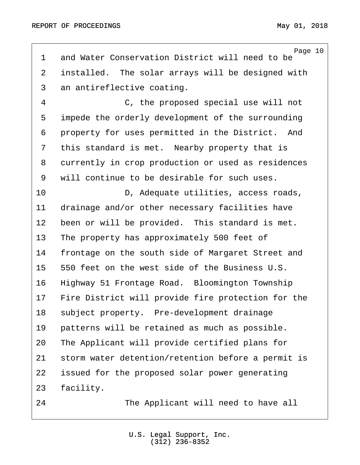<span id="page-9-0"></span>Page 10 1 and Water Conservation District will need to be 2 installed. The solar arrays will be designed with 3 an antireflective coating. 4 C, the proposed special use will not 5 impede the orderly development of the surrounding 6 property for uses permitted in the District. And 7 this standard is met. Nearby property that is 8 currently in crop production or used as residences 9 will continue to be desirable for such uses. 10 · · · · · · · · D, Adequate utilities, access roads, 11 drainage and/or other necessary facilities have 12 been or will be provided. This standard is met. 13 The property has approximately 500 feet of 14 frontage on the south side of Margaret Street and 15 550 feet on the west side of the Business U.S. 16 · Highway 51 Frontage Road. Bloomington Township 17 Fire District will provide fire protection for the 18 subject property. Pre-development drainage 19 patterns will be retained as much as possible. 20 The Applicant will provide certified plans for 21 storm water detention/retention before a permit is 22 issued for the proposed solar power generating 23 facility. 24 The Applicant will need to have all

> U.S. Legal Support, Inc. (312) 236-8352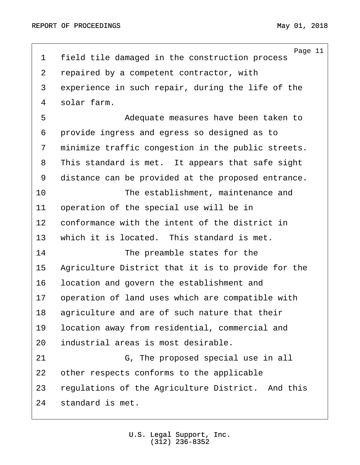<span id="page-10-0"></span>Page 11 1 field tile damaged in the construction process 2 repaired by a competent contractor, with 3 experience in such repair, during the life of the 4 solar farm. ·5· · · · · · · · Adequate measures have been taken to 6 provide ingress and egress so designed as to 7 minimize traffic congestion in the public streets. 8 This standard is met. It appears that safe sight 9 distance can be provided at the proposed entrance. 10 **10** The establishment, maintenance and 11 operation of the special use will be in 12 conformance with the intent of the district in 13 which it is located. This standard is met. 14 The preamble states for the 15 Agriculture District that it is to provide for the 16 location and govern the establishment and 17 operation of land uses which are compatible with 18 agriculture and are of such nature that their 19 location away from residential, commercial and 20 industrial areas is most desirable. 21· · · · · · · · G, The proposed special use in all 22 other respects conforms to the applicable 23 regulations of the Agriculture District. And this 24 standard is met.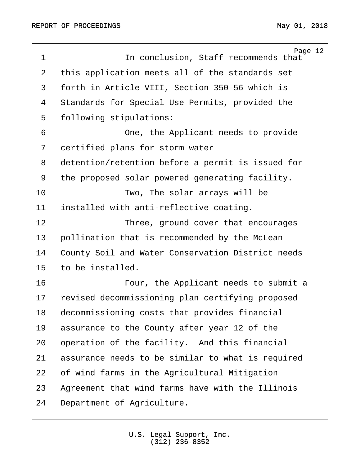<span id="page-11-0"></span>Page 12 1 and 1 regions of the condusion, Staff recommends that 2 this application meets all of the standards set ·3· ·forth in Article VIII, Section 350-56 which is 4 Standards for Special Use Permits, provided the 5 following stipulations: ·6· · · · · · · · One, the Applicant needs to provide 7 certified plans for storm water 8 detention/retention before a permit is issued for 9 the proposed solar powered generating facility. 10 Two, The solar arrays will be 11 installed with anti-reflective coating. 12 **· · · · · · · · · · · · Three, ground cover that encourages** 13 • pollination that is recommended by the McLean 14 County Soil and Water Conservation District needs 15 to be installed. 16 · · · · · · · · · · · · Four, the Applicant needs to submit a 17 revised decommissioning plan certifying proposed 18 decommissioning costs that provides financial 19 assurance to the County after year 12 of the 20 operation of the facility. And this financial 21 assurance needs to be similar to what is required 22 of wind farms in the Agricultural Mitigation 23 Agreement that wind farms have with the Illinois 24 Department of Agriculture.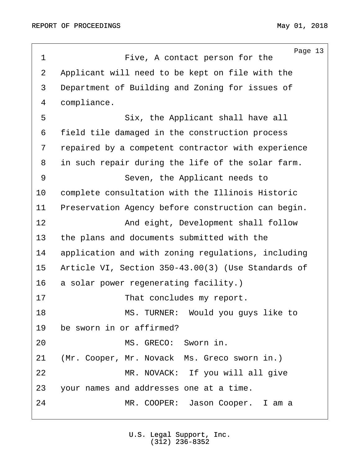<span id="page-12-0"></span>

|                | Page 13                                            |
|----------------|----------------------------------------------------|
| $\mathbf 1$    | Five, A contact person for the                     |
| $\overline{2}$ | Applicant will need to be kept on file with the    |
| 3              | Department of Building and Zoning for issues of    |
| $\overline{4}$ | compliance.                                        |
| 5              | Six, the Applicant shall have all                  |
| 6              | field tile damaged in the construction process     |
| 7              | repaired by a competent contractor with experience |
| 8              | in such repair during the life of the solar farm.  |
| 9              | Seven, the Applicant needs to                      |
| 10             | complete consultation with the Illinois Historic   |
| 11             | Preservation Agency before construction can begin. |
| 12             | And eight, Development shall follow                |
| 13             | the plans and documents submitted with the         |
| 14             | application and with zoning regulations, including |
| 15             | Article VI, Section 350-43.00(3) (Use Standards of |
| 16             | a solar power regenerating facility.)              |
| 17             | That concludes my report.                          |
| 18             | MS. TURNER: Would you guys like to                 |
| 19             | be sworn in or affirmed?                           |
| 20             | MS. GRECO: Sworn in.                               |
| 21             | (Mr. Cooper, Mr. Novack Ms. Greco sworn in.)       |
| 22             | MR. NOVACK: If you will all give                   |
| 23             | your names and addresses one at a time.            |
| 24             | MR. COOPER: Jason Cooper. I am a                   |
|                |                                                    |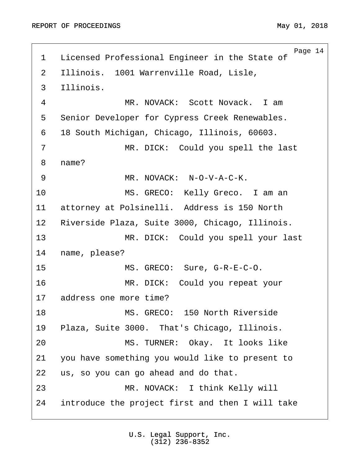<span id="page-13-0"></span>Page 14 1 Licensed Professional Engineer in the State of 2 Illinois. 1001 Warrenville Road, Lisle, 3 Illinois. 4 MR. NOVACK: Scott Novack. I am 5 Senior Developer for Cypress Creek Renewables. 6 18 South Michigan, Chicago, Illinois, 60603. 7 MR. DICK: Could you spell the last 8 name? 9 MR. NOVACK: N-O-V-A-C-K. 10 · · · · · · · MS. GRECO: Kelly Greco. I am an 11 attorney at Polsinelli. Address is 150 North 12 Riverside Plaza, Suite 3000, Chicago, Illinois. 13 • · · · · · MR. DICK: Could you spell your last 14 name, please? 15 MS. GRECO: Sure, G-R-E-C-O. 16 · · · · · · · · MR. DICK: Could you repeat your 17 address one more time? 18· · · · · · · · MS. GRECO:· 150 North Riverside 19 Plaza, Suite 3000. That's Chicago, Illinois. 20 MS. TURNER: Okay. It looks like 21 you have something you would like to present to 22 us, so you can go ahead and do that. 23· · · · · · · · MR. NOVACK:· I think Kelly will 24 introduce the project first and then I will take

> U.S. Legal Support, Inc. (312) 236-8352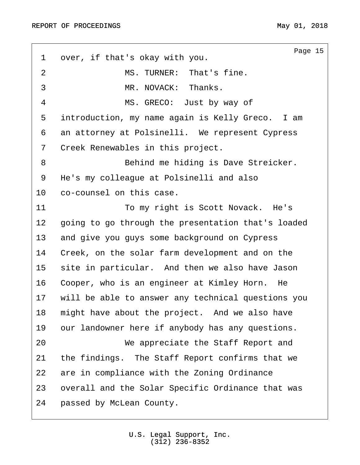<span id="page-14-0"></span>Page 15 1 over, if that's okay with you. 2 · · · · · · · · MS. TURNER: That's fine. ·3· · · · · · · · MR. NOVACK:· Thanks. 4 MS. GRECO: Just by way of 5 introduction, my name again is Kelly Greco. I am 6 an attorney at Polsinelli. We represent Cypress 7 Creek Renewables in this project. ·8· · · · · · · · Behind me hiding is Dave Streicker. 9 He's my colleaque at Polsinelli and also 10 co-counsel on this case. 11 · · · · · · · · · · · To my right is Scott Novack. He's 12 going to go through the presentation that's loaded 13 and give you guys some background on Cypress 14 Creek, on the solar farm development and on the 15 site in particular. And then we also have Jason 16 • Cooper, who is an engineer at Kimley Horn. He 17 • will be able to answer any technical questions you 18 might have about the project. And we also have 19 our landowner here if anybody has any questions. 20· · · · · · · · We appreciate the Staff Report and 21 the findings. The Staff Report confirms that we 22 are in compliance with the Zoning Ordinance 23 overall and the Solar Specific Ordinance that was 24 passed by McLean County.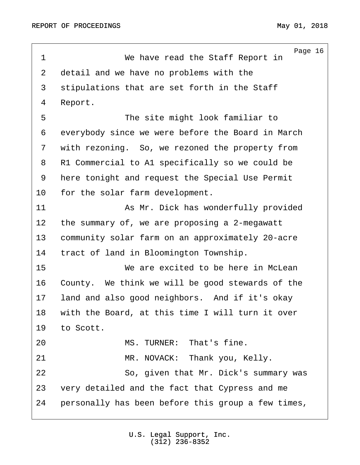<span id="page-15-0"></span>Page 16 ·1· · · · · · · · We have read the Staff Report in 2 detail and we have no problems with the 3 stipulations that are set forth in the Staff 4 Report. 5 The site might look familiar to 6 everybody since we were before the Board in March 7 with rezoning. So, we rezoned the property from 8 R1 Commercial to A1 specifically so we could be 9 here tonight and request the Special Use Permit 10 for the solar farm development. 11 · · · · · · · · As Mr. Dick has wonderfully provided 12 the summary of, we are proposing a 2-megawatt 13 community solar farm on an approximately 20-acre 14 tract of land in Bloomington Township. 15· · · · · · · · We are excited to be here in McLean 16 County. We think we will be good stewards of the 17 Iand and also good neighbors. And if it's okay 18 with the Board, at this time I will turn it over 19 to Scott. 20· · · · · · · · MS. TURNER:· That's fine. 21 MR. NOVACK: Thank you, Kelly. 22 · · · · · · So, given that Mr. Dick's summary was 23 very detailed and the fact that Cypress and me 24 · personally has been before this group a few times,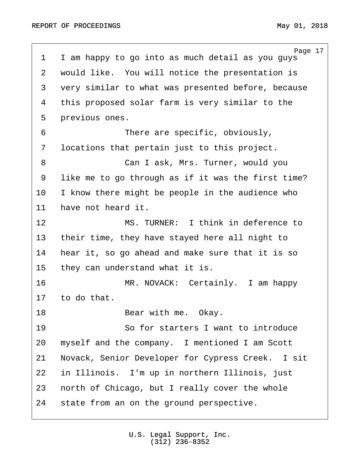<span id="page-16-0"></span>Page 17 1 I am happy to go into as much detail as you guys 2 would like. You will notice the presentation is 3 very similar to what was presented before, because 4 this proposed solar farm is very similar to the 5 previous ones. ·6· · · · · · · · There are specific, obviously, 7 locations that pertain just to this project. ·8· · · · · · · · Can I ask, Mrs. Turner, would you 9 like me to go through as if it was the first time? 10 I know there might be people in the audience who 11 have not heard it. 12· · · · · · · · MS. TURNER:· I think in deference to 13 their time, they have stayed here all night to 14 hear it, so go ahead and make sure that it is so 15 they can understand what it is. 16 · · · · · · MR. NOVACK: Certainly. I am happy 17 to do that. 18· · · · · · · · Bear with me.· Okay. 19 · · · · · · So for starters I want to introduce 20 myself and the company. I mentioned I am Scott 21 Novack, Senior Developer for Cypress Creek. I sit 22 in Illinois. I'm up in northern Illinois, just 23 north of Chicago, but I really cover the whole 24 state from an on the ground perspective.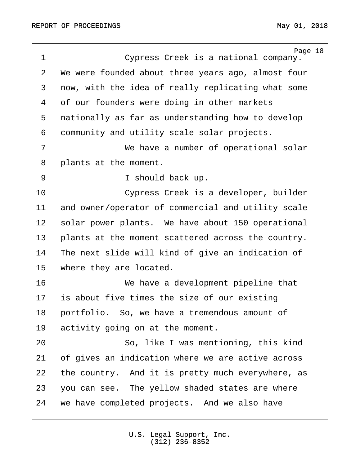<span id="page-17-0"></span>

| $\mathbf 1$ | Page 18<br>Cypress Creek is a national company.    |
|-------------|----------------------------------------------------|
| 2           | We were founded about three years ago, almost four |
| 3           | now, with the idea of really replicating what some |
| 4           | of our founders were doing in other markets        |
| 5           | nationally as far as understanding how to develop  |
| 6           | community and utility scale solar projects.        |
| 7           | We have a number of operational solar              |
| 8           | plants at the moment.                              |
| 9           | I should back up.                                  |
| 10          | Cypress Creek is a developer, builder              |
| 11          | and owner/operator of commercial and utility scale |
| 12          | solar power plants. We have about 150 operational  |
| 13          | plants at the moment scattered across the country. |
| 14          | The next slide will kind of give an indication of  |
| 15          | where they are located.                            |
| 16          | We have a development pipeline that                |
| 17          | is about five times the size of our existing       |
| 18          | portfolio. So, we have a tremendous amount of      |
| 19          | activity going on at the moment.                   |
| 20          | So, like I was mentioning, this kind               |
| 21          | of gives an indication where we are active across  |
| 22          | the country. And it is pretty much everywhere, as  |
| 23          | you can see. The yellow shaded states are where    |
| 24          | we have completed projects. And we also have       |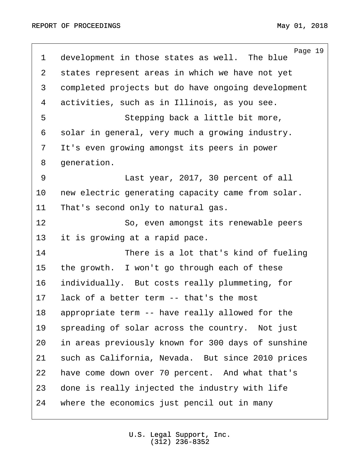<span id="page-18-0"></span>Page 19 1 development in those states as well. The blue 2 states represent areas in which we have not yet 3 completed projects but do have ongoing development 4 activities, such as in Illinois, as you see. 5 · · · · · · Stepping back a little bit more, 6 solar in general, very much a growing industry. 7 It's even growing amongst its peers in power 8 generation. 9 · · · · · · · · Last year, 2017, 30 percent of all 10 new electric generating capacity came from solar. 11 That's second only to natural gas. 12 · · · · · · So, even amongst its renewable peers 13 it is growing at a rapid pace. 14 There is a lot that's kind of fueling 15 the growth. I won't go through each of these 16· ·individually.· But costs really plummeting, for 17 lack of a better term -- that's the most 18 appropriate term -- have really allowed for the 19 spreading of solar across the country. Not just 20 in areas previously known for 300 days of sunshine 21 such as California, Nevada. But since 2010 prices 22 have come down over 70 percent. And what that's 23 done is really injected the industry with life 24 where the economics just pencil out in many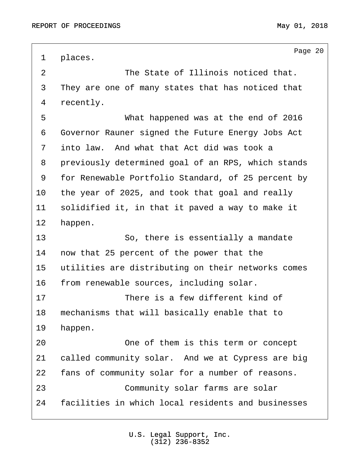<span id="page-19-0"></span>Page 20 1 places. 2 2 · · · · · · · · The State of Illinois noticed that. 3 They are one of many states that has noticed that 4 recently. 5 · · · · · · · · · What happened was at the end of 2016 ·6· ·Governor Rauner signed the Future Energy Jobs Act 7 into law. And what that Act did was took a 8 previously determined goal of an RPS, which stands 9 for Renewable Portfolio Standard, of 25 percent by 10 the year of 2025, and took that goal and really 11 solidified it, in that it paved a way to make it 12 happen. 13 · · · · · · So, there is essentially a mandate 14 now that 25 percent of the power that the 15 utilities are distributing on their networks comes 16 from renewable sources, including solar. 17· · · · · · · · There is a few different kind of 18 mechanisms that will basically enable that to 19 happen. 20 20 20 20 One of them is this term or concept 21 called community solar. And we at Cypress are big 22 fans of community solar for a number of reasons. 23 · · · · · Community solar farms are solar 24 · facilities in which local residents and businesses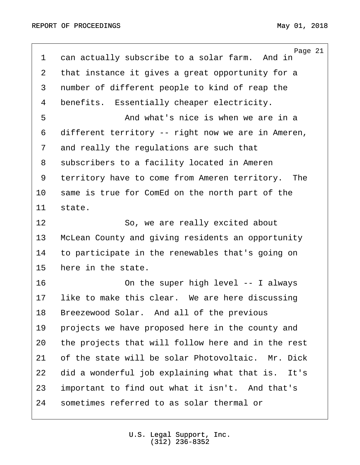<span id="page-20-0"></span>Page 21 1 can actually subscribe to a solar farm. And in 2 that instance it gives a great opportunity for a 3 number of different people to kind of reap the 4 benefits. Essentially cheaper electricity. ·5· · · · · · · · And what's nice is when we are in a 6 different territory -- right now we are in Ameren, 7 and really the regulations are such that 8 subscribers to a facility located in Ameren 9 territory have to come from Ameren territory. The 10 same is true for ComEd on the north part of the 11 state. 12 So, we are really excited about 13 McLean County and giving residents an opportunity 14 to participate in the renewables that's going on 15 here in the state. 16 · · · · · · On the super high level -- I always 17 Iike to make this clear. We are here discussing 18 Breezewood Solar. And all of the previous 19 projects we have proposed here in the county and 20 the projects that will follow here and in the rest 21 of the state will be solar Photovoltaic. Mr. Dick 22 did a wonderful job explaining what that is. It's 23 important to find out what it isn't. And that's 24 sometimes referred to as solar thermal or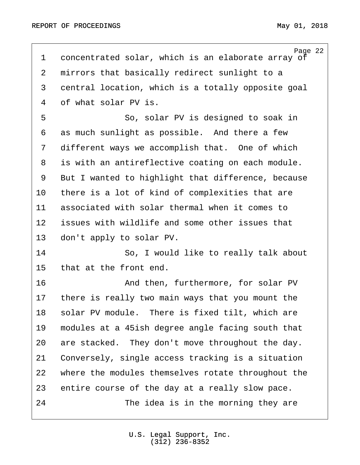<span id="page-21-0"></span>Page 22 1 concentrated solar, which is an elaborate array of 2 mirrors that basically redirect sunlight to a 3 central location, which is a totally opposite goal 4 of what solar PV is. 5 · · · · · · So, solar PV is designed to soak in 6 as much sunlight as possible. And there a few 7 different ways we accomplish that. One of which 8 is with an antireflective coating on each module. 9 But I wanted to highlight that difference, because 10 there is a lot of kind of complexities that are 11 associated with solar thermal when it comes to 12 issues with wildlife and some other issues that 13 don't apply to solar PV. 14 · · · · · So, I would like to really talk about 15 that at the front end. 16 · · · · · · · · · And then, furthermore, for solar PV 17 there is really two main ways that you mount the 18 solar PV module. There is fixed tilt, which are 19 modules at a 45ish degree angle facing south that 20 are stacked. They don't move throughout the day. 21 Conversely, single access tracking is a situation 22 where the modules themselves rotate throughout the 23 entire course of the day at a really slow pace. 24 The idea is in the morning they are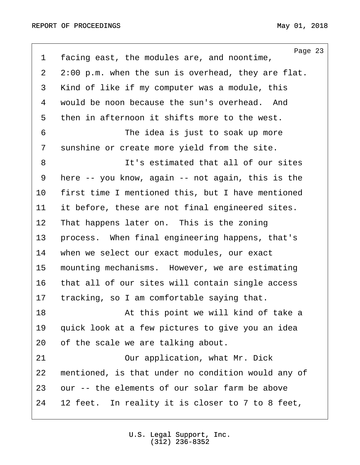<span id="page-22-0"></span>

| $\mathbf 1$    | Page 23<br>facing east, the modules are, and noontime, |
|----------------|--------------------------------------------------------|
| $\overline{2}$ | $2:00$ p.m. when the sun is overhead, they are flat.   |
| 3              | Kind of like if my computer was a module, this         |
| 4              | would be noon because the sun's overhead. And          |
| 5              | then in afternoon it shifts more to the west.          |
| 6              | The idea is just to soak up more                       |
| 7              | sunshine or create more yield from the site.           |
| 8              | It's estimated that all of our sites                   |
| 9              | here -- you know, again -- not again, this is the      |
| $10 \,$        | first time I mentioned this, but I have mentioned      |
| 11             | it before, these are not final engineered sites.       |
| 12             | That happens later on. This is the zoning              |
| 13             | process. When final engineering happens, that's        |
| 14             | when we select our exact modules, our exact            |
| 15             | mounting mechanisms. However, we are estimating        |
| 16             | that all of our sites will contain single access       |
| 17             | tracking, so I am comfortable saying that.             |
| 18             | At this point we will kind of take a                   |
| 19             | quick look at a few pictures to give you an idea       |
| 20             | of the scale we are talking about.                     |
| 21             | Our application, what Mr. Dick                         |
| 22             | mentioned, is that under no condition would any of     |
| 23             | our -- the elements of our solar farm be above         |
| 24             | 12 feet. In reality it is closer to 7 to 8 feet,       |
|                |                                                        |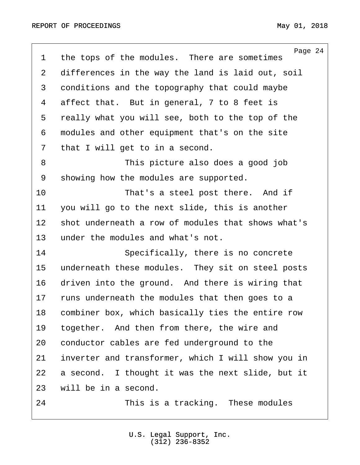<span id="page-23-0"></span>

| $\mathbf 1$ | Page 24<br>the tops of the modules. There are sometimes |
|-------------|---------------------------------------------------------|
| 2           | differences in the way the land is laid out, soil       |
| 3           | conditions and the topography that could maybe          |
| 4           | affect that. But in general, 7 to 8 feet is             |
| 5           | really what you will see, both to the top of the        |
| 6           | modules and other equipment that's on the site          |
| 7           | that I will get to in a second.                         |
| 8           | This picture also does a good job                       |
| 9           | showing how the modules are supported.                  |
| 10          | That's a steel post there. And if                       |
| 11          | you will go to the next slide, this is another          |
| 12          | shot underneath a row of modules that shows what's      |
| 13          | under the modules and what's not.                       |
| 14          | Specifically, there is no concrete                      |
| 15          | underneath these modules. They sit on steel posts       |
| 16          | driven into the ground. And there is wiring that        |
| 17          | runs underneath the modules that then goes to a         |
| 18          | combiner box, which basically ties the entire row       |
| 19          | together. And then from there, the wire and             |
| 20          | conductor cables are fed underground to the             |
| 21          | inverter and transformer, which I will show you in      |
| 22          | a second. I thought it was the next slide, but it       |
| 23          | will be in a second.                                    |
| 24          | This is a tracking. These modules                       |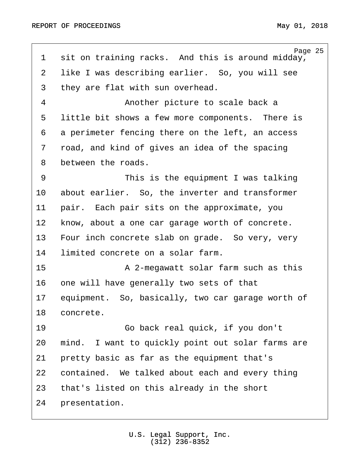<span id="page-24-0"></span>Page 25 1 sit on training racks. And this is around midday, 2 like I was describing earlier. So, you will see 3 they are flat with sun overhead. 4 · · · · · · · · Another picture to scale back a 5 little bit shows a few more components. There is 6 a perimeter fencing there on the left, an access 7 road, and kind of gives an idea of the spacing 8 between the roads. 9 · · · · · · · · This is the equipment I was talking 10 about earlier. So, the inverter and transformer 11 pair. Each pair sits on the approximate, you 12 know, about a one car garage worth of concrete. 13 Four inch concrete slab on grade. So very, very 14 limited concrete on a solar farm. 15· · · · · · · · A 2-megawatt solar farm such as this 16 one will have generally two sets of that 17 equipment. So, basically, two car garage worth of 18 concrete. 19 · · · · · · Go back real quick, if you don't 20 mind. I want to quickly point out solar farms are 21 pretty basic as far as the equipment that's 22 contained. We talked about each and every thing 23 that's listed on this already in the short 24 presentation.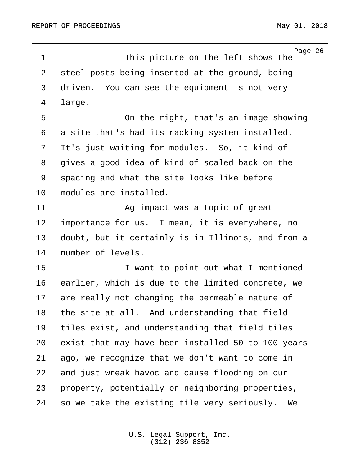<span id="page-25-0"></span>Page 26 1 This picture on the left shows the 2 steel posts being inserted at the ground, being 3 driven. You can see the equipment is not very 4 large. ·5· · · · · · · · On the right, that's an image showing 6 a site that's had its racking system installed. 7 It's just waiting for modules. So, it kind of 8 · gives a good idea of kind of scaled back on the 9 spacing and what the site looks like before 10 modules are installed. 11 · · · · · · · · · Ag impact was a topic of great 12 importance for us. I mean, it is everywhere, no 13 doubt, but it certainly is in Illinois, and from a 14 number of levels. 15· · · · · · · · I want to point out what I mentioned 16 earlier, which is due to the limited concrete, we 17 are really not changing the permeable nature of 18 the site at all. And understanding that field 19 tiles exist, and understanding that field tiles 20 exist that may have been installed 50 to 100 years 21 ago, we recognize that we don't want to come in 22 and just wreak havoc and cause flooding on our 23 property, potentially on neighboring properties, 24 · so we take the existing tile very seriously. We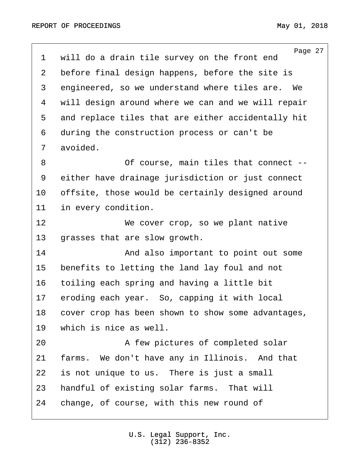<span id="page-26-0"></span>

| $\mathbf 1$    | Page 27<br>will do a drain tile survey on the front end |
|----------------|---------------------------------------------------------|
| $\overline{2}$ | before final design happens, before the site is         |
| 3              | engineered, so we understand where tiles are. We        |
| 4              | will design around where we can and we will repair      |
| 5              | and replace tiles that are either accidentally hit      |
| 6              | during the construction process or can't be             |
| 7              | avoided.                                                |
| 8              | Of course, main tiles that connect --                   |
| 9              | either have drainage jurisdiction or just connect       |
| 10             | offsite, those would be certainly designed around       |
| 11             | in every condition.                                     |
| 12             | We cover crop, so we plant native                       |
| 13             | grasses that are slow growth.                           |
| 14             | And also important to point out some                    |
| 15             | benefits to letting the land lay foul and not           |
| 16             | toiling each spring and having a little bit             |
| 17             | eroding each year. So, capping it with local            |
| 18             | cover crop has been shown to show some advantages,      |
| 19             | which is nice as well.                                  |
| 20             | A few pictures of completed solar                       |
| 21             | farms. We don't have any in Illinois. And that          |
| 22             | is not unique to us. There is just a small              |
| 23             | handful of existing solar farms. That will              |
| 24             | change, of course, with this new round of               |
|                |                                                         |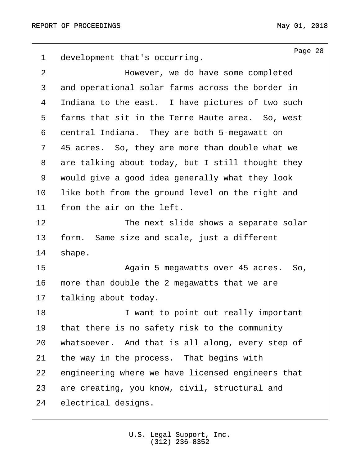<span id="page-27-0"></span>Page 28 1 development that's occurring. 2 a completed **by** However, we do have some completed 3 and operational solar farms across the border in 4 Indiana to the east. I have pictures of two such 5 farms that sit in the Terre Haute area. So, west 6 central Indiana. They are both 5-megawatt on 7 45 acres. So, they are more than double what we 8 are talking about today, but I still thought they 9 would give a good idea generally what they look 10 like both from the ground level on the right and 11 from the air on the left. 12 The next slide shows a separate solar 13 form. Same size and scale, just a different 14 shape. 15 · · · · · · · · · · · Again 5 megawatts over 45 acres. So, 16 more than double the 2 megawatts that we are 17 talking about today. 18 **18** · **1** want to point out really important 19 that there is no safety risk to the community 20 whatsoever. And that is all along, every step of 21 the way in the process. That begins with 22 engineering where we have licensed engineers that 23 are creating, you know, civil, structural and 24 electrical designs.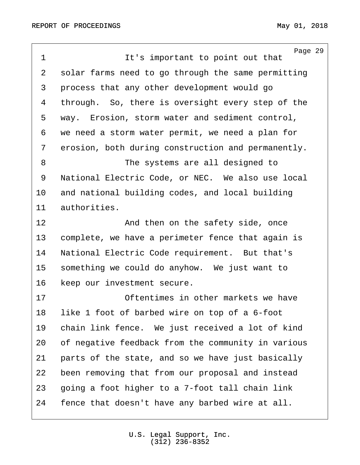<span id="page-28-0"></span>Page 29 ·1· · · · · · · · It's important to point out that 2 solar farms need to go through the same permitting 3 process that any other development would go 4 through. So, there is oversight every step of the 5 way. Erosion, storm water and sediment control, 6 we need a storm water permit, we need a plan for 7 erosion, both during construction and permanently. 8 · · · · · · · · · The systems are all designed to 9 · National Electric Code, or NEC. We also use local 10 and national building codes, and local building 11 authorities. 12 and then on the safety side, once 13 complete, we have a perimeter fence that again is 14 National Electric Code requirement. But that's 15 something we could do anyhow. We just want to 16 Reep our investment secure. 17 **· · · · · · · · Oftentimes in other markets we have** 18 like 1 foot of barbed wire on top of a 6-foot 19 chain link fence. We just received a lot of kind 20 of negative feedback from the community in various 21 parts of the state, and so we have just basically 22 been removing that from our proposal and instead 23 · going a foot higher to a 7-foot tall chain link 24 fence that doesn't have any barbed wire at all.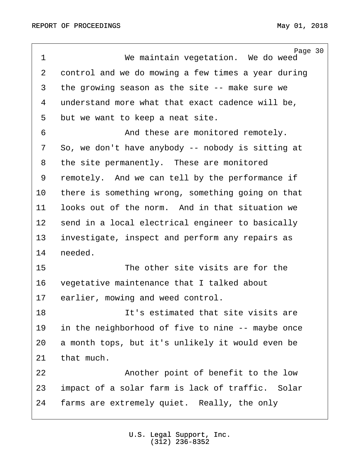<span id="page-29-0"></span>Page 30 1 We maintain vegetation. We do weed 2 control and we do mowing a few times a year during 3 the growing season as the site -- make sure we 4 understand more what that exact cadence will be, 5 but we want to keep a neat site. 6 · · · · · · · · And these are monitored remotely. 7 So, we don't have anybody -- nobody is sitting at 8 the site permanently. These are monitored 9 remotely. And we can tell by the performance if 10 there is something wrong, something going on that 11 looks out of the norm. And in that situation we 12 send in a local electrical engineer to basically 13 investigate, inspect and perform any repairs as 14 needed. 15· · · · · · · · The other site visits are for the 16 vegetative maintenance that I talked about 17 earlier, mowing and weed control. 18 **18** · · · · · · It's estimated that site visits are 19 in the neighborhood of five to nine -- maybe once 20 a month tops, but it's unlikely it would even be  $21$  that much. 22 **Another point of benefit to the low** 23 impact of a solar farm is lack of traffic. Solar 24 farms are extremely quiet. Really, the only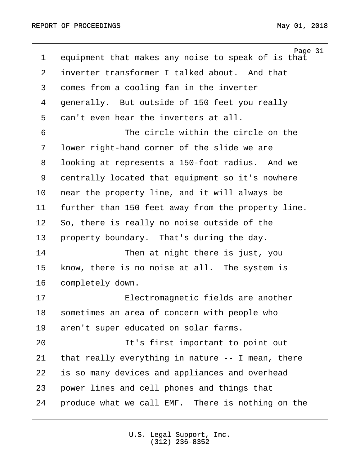<span id="page-30-0"></span>Page 31 1 equipment that makes any noise to speak of is that 2 inverter transformer I talked about. And that 3 comes from a cooling fan in the inverter 4 generally. But outside of 150 feet you really 5 can't even hear the inverters at all. ·6· · · · · · · · The circle within the circle on the 7 Iower right-hand corner of the slide we are 8 · looking at represents a 150-foot radius. And we 9 centrally located that equipment so it's nowhere 10 near the property line, and it will always be 11 further than 150 feet away from the property line. 12 So, there is really no noise outside of the 13 property boundary. That's during the day. 14 **• Then at night there is just, you** 15 know, there is no noise at all. The system is 16 completely down. 17· · · · · · · · Electromagnetic fields are another 18 sometimes an area of concern with people who 19 aren't super educated on solar farms. 20 and 1t's first important to point out 21 that really everything in nature  $-$ - I mean, there 22 is so many devices and appliances and overhead 23 power lines and cell phones and things that 24 • produce what we call EMF. There is nothing on the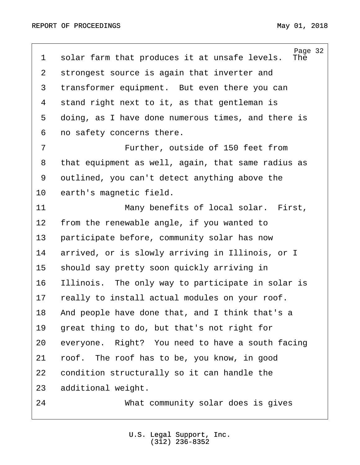<span id="page-31-0"></span>Page 32<br>The 1 solar farm that produces it at unsafe levels. 2 strongest source is again that inverter and 3 transformer equipment. But even there you can 4 stand right next to it, as that gentleman is 5 doing, as I have done numerous times, and there is 6 no safety concerns there. 7 The Further, outside of 150 feet from 8 that equipment as well, again, that same radius as 9 outlined, you can't detect anything above the 10 earth's magnetic field. 11 · · · · · · · · · Many benefits of local solar. First, 12 from the renewable angle, if you wanted to 13 participate before, community solar has now 14 arrived, or is slowly arriving in Illinois, or I 15 should say pretty soon quickly arriving in 16 Illinois. The only way to participate in solar is 17 really to install actual modules on your roof. 18 • And people have done that, and I think that's a 19 great thing to do, but that's not right for 20 everyone. Right? You need to have a south facing 21 roof. The roof has to be, you know, in good 22 condition structurally so it can handle the 23 additional weight. 24· · · · · · · · What community solar does is gives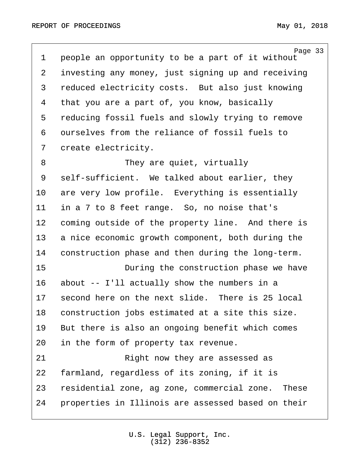<span id="page-32-0"></span>

| $\mathbf 1$    | Page 33<br>people an opportunity to be a part of it without |
|----------------|-------------------------------------------------------------|
| $\overline{2}$ | investing any money, just signing up and receiving          |
| 3              | reduced electricity costs. But also just knowing            |
| 4              | that you are a part of, you know, basically                 |
| 5              | reducing fossil fuels and slowly trying to remove           |
| 6              | ourselves from the reliance of fossil fuels to              |
| 7              | create electricity.                                         |
| 8              | They are quiet, virtually                                   |
| 9              | self-sufficient. We talked about earlier, they              |
| 10             | are very low profile. Everything is essentially             |
| 11             | in a 7 to 8 feet range. So, no noise that's                 |
| 12             | coming outside of the property line. And there is           |
| 13             | a nice economic growth component, both during the           |
| 14             | construction phase and then during the long-term.           |
| 15             | During the construction phase we have                       |
| 16             | about -- I'll actually show the numbers in a                |
| 17             | second here on the next slide. There is 25 local            |
| 18             | construction jobs estimated at a site this size.            |
| 19             | But there is also an ongoing benefit which comes            |
| 20             | in the form of property tax revenue.                        |
| 21             | Right now they are assessed as                              |
| 22             | farmland, regardless of its zoning, if it is                |
| 23             | residential zone, ag zone, commercial zone.<br>These        |
| 24             | properties in Illinois are assessed based on their          |
|                |                                                             |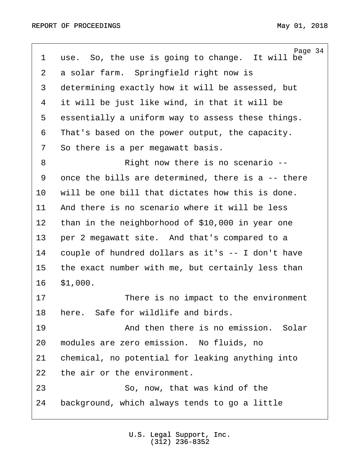<span id="page-33-0"></span>Page 34 1 use. So, the use is going to change. It will be 2 a solar farm. Springfield right now is 3 determining exactly how it will be assessed, but 4 it will be just like wind, in that it will be 5 essentially a uniform way to assess these things. 6 That's based on the power output, the capacity. 7 So there is a per megawatt basis. 8 · · · · · · · · · Right now there is no scenario --9 once the bills are determined, there is a -- there 10 will be one bill that dictates how this is done. 11 And there is no scenario where it will be less 12 than in the neighborhood of \$10,000 in year one 13 per 2 megawatt site. And that's compared to a 14 couple of hundred dollars as it's -- I don't have 15 the exact number with me, but certainly less than  $16$   $$1,000$ . 17 **• 17** There is no impact to the environment 18 here. Safe for wildlife and birds. 19 · · · · · · · · And then there is no emission. Solar 20 modules are zero emission. No fluids, no 21 chemical, no potential for leaking anything into 22 the air or the environment. 23 · · · · · · So, now, that was kind of the 24 background, which always tends to go a little

> U.S. Legal Support, Inc. (312) 236-8352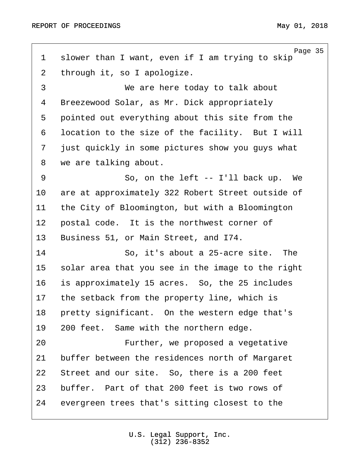<span id="page-34-0"></span>

| $\mathbf 1$    | Page 35<br>slower than I want, even if I am trying to skip |
|----------------|------------------------------------------------------------|
| $\overline{2}$ | through it, so I apologize.                                |
| 3              | We are here today to talk about                            |
| 4              | Breezewood Solar, as Mr. Dick appropriately                |
| 5              | pointed out everything about this site from the            |
| 6              | location to the size of the facility. But I will           |
| 7              | just quickly in some pictures show you guys what           |
| 8              | we are talking about.                                      |
| 9              | So, on the left $--$ I'll back up. We                      |
| 10             | are at approximately 322 Robert Street outside of          |
| 11             | the City of Bloomington, but with a Bloomington            |
| 12             | postal code. It is the northwest corner of                 |
| 13             | Business 51, or Main Street, and I74.                      |
| 14             | So, it's about a 25-acre site.<br>The                      |
| 15             | solar area that you see in the image to the right          |
| 16             | is approximately 15 acres. So, the 25 includes             |
| 17             | the setback from the property line, which is               |
| 18             | pretty significant. On the western edge that's             |
| 19             | 200 feet. Same with the northern edge.                     |
| 20             | Further, we proposed a vegetative                          |
| 21             | buffer between the residences north of Margaret            |
| 22             | Street and our site. So, there is a 200 feet               |
| 23             | buffer. Part of that 200 feet is two rows of               |
| 24             | evergreen trees that's sitting closest to the              |
|                |                                                            |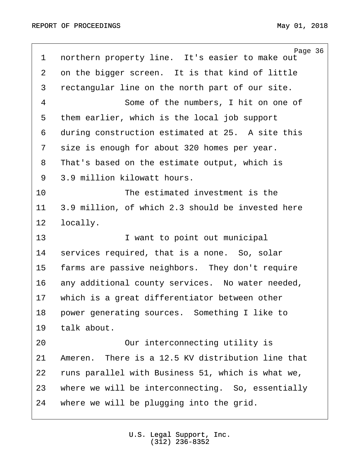<span id="page-35-0"></span>Page 36 1 northern property line. It's easier to make out 2 on the bigger screen. It is that kind of little 3 rectangular line on the north part of our site. 4 · · · · · Some of the numbers, I hit on one of 5 them earlier, which is the local job support 6 during construction estimated at 25. A site this 7 size is enough for about 320 homes per year. 8 That's based on the estimate output, which is 9 3.9 million kilowatt hours. 10 **10** The estimated investment is the 11 3.9 million, of which 2.3 should be invested here 12 locally. 13· · · · · · · · I want to point out municipal 14 services required, that is a none. So, solar 15 farms are passive neighbors. They don't require 16 any additional county services. No water needed, 17 · which is a great differentiator between other 18 • power generating sources. Something I like to 19 talk about. 20 **20** Our interconnecting utility is 21  $\blacksquare$  Ameren. There is a 12.5 KV distribution line that 22 runs parallel with Business 51, which is what we, 23 where we will be interconnecting. So, essentially 24 where we will be plugging into the grid.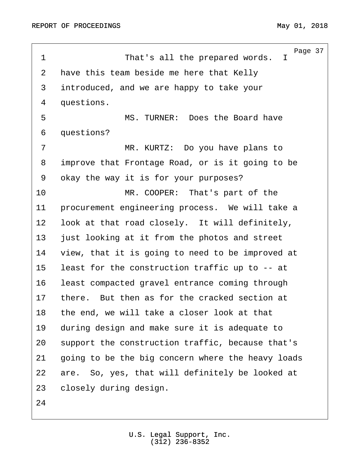<span id="page-36-0"></span>Page 37 1 · · · · · · · · · That's all the prepared words. I 2 have this team beside me here that Kelly 3 introduced, and we are happy to take your 4 questions. ·5· · · · · · · · MS. TURNER:· Does the Board have 6 questions? 7 · · · · · · · · · MR. KURTZ: Do you have plans to 8 improve that Frontage Road, or is it going to be 9 okay the way it is for your purposes? 10 **In the MR. COOPER:** That's part of the 11 · procurement engineering process. We will take a 12 look at that road closely. It will definitely, 13 just looking at it from the photos and street 14 view, that it is going to need to be improved at 15 least for the construction traffic up to -- at 16 least compacted gravel entrance coming through 17 there. But then as for the cracked section at 18 the end, we will take a closer look at that 19 during design and make sure it is adequate to 20 support the construction traffic, because that's 21 going to be the big concern where the heavy loads 22 are. So, yes, that will definitely be looked at 23 closely during design. 24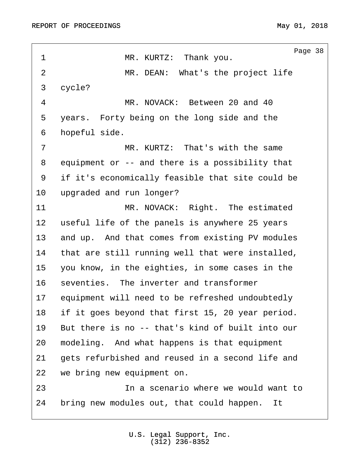<span id="page-37-0"></span>

| $\mathbf 1$    | Page 38<br>MR. KURTZ: Thank you.                 |
|----------------|--------------------------------------------------|
| $\overline{2}$ | MR. DEAN: What's the project life                |
| 3              | cycle?                                           |
| 4              | MR. NOVACK: Between 20 and 40                    |
| 5              | years. Forty being on the long side and the      |
| 6              | hopeful side.                                    |
| 7              | MR. KURTZ: That's with the same                  |
| 8              | equipment or -- and there is a possibility that  |
| 9              | if it's economically feasible that site could be |
| 10             | upgraded and run longer?                         |
| 11             | MR. NOVACK: Right. The estimated                 |
| 12             | useful life of the panels is anywhere 25 years   |
| 13             | and up. And that comes from existing PV modules  |
| 14             | that are still running well that were installed, |
| 15             | you know, in the eighties, in some cases in the  |
| 16             | seventies. The inverter and transformer          |
| 17             | equipment will need to be refreshed undoubtedly  |
| 18             | if it goes beyond that first 15, 20 year period. |
| 19             | But there is no -- that's kind of built into our |
| 20             | modeling. And what happens is that equipment     |
| 21             | gets refurbished and reused in a second life and |
| 22             | we bring new equipment on.                       |
| 23             | In a scenario where we would want to             |
| 24             | bring new modules out, that could happen.<br>It  |
|                |                                                  |

U.S. Legal Support, Inc. (312) 236-8352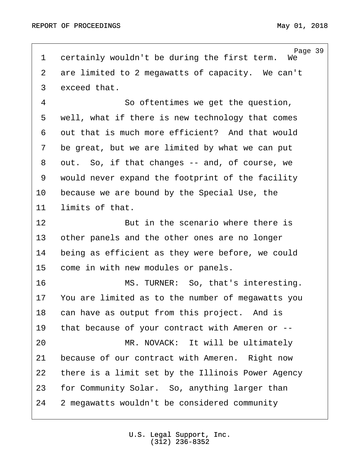<span id="page-38-0"></span>Page 39<br>We 1 certainly wouldn't be during the first term. 2 are limited to 2 megawatts of capacity. We can't 3 exceed that. 4 a so oftentimes we get the question, 5 vell, what if there is new technology that comes 6 out that is much more efficient? And that would 7 be great, but we are limited by what we can put 8 out. So, if that changes -- and, of course, we 9 would never expand the footprint of the facility 10 because we are bound by the Special Use, the 11 limits of that. 12 **12** · · · · · · · · · But in the scenario where there is 13 other panels and the other ones are no longer 14 being as efficient as they were before, we could 15 come in with new modules or panels. 16 · · · · · · · · MS. TURNER: So, that's interesting. 17 You are limited as to the number of megawatts you 18 can have as output from this project. And is 19 that because of your contract with Ameren or --20 MR. NOVACK: It will be ultimately 21 because of our contract with Ameren. Right now 22 there is a limit set by the Illinois Power Agency 23 for Community Solar. So, anything larger than 24 2 megawatts wouldn't be considered community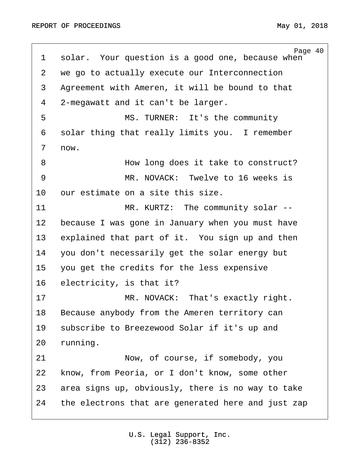<span id="page-39-0"></span>Page 40 1 solar. Your question is a good one, because when 2 we go to actually execute our Interconnection 3 Agreement with Ameren, it will be bound to that 4 2-megawatt and it can't be larger. 5 · · · · · · · · MS. TURNER: It's the community 6 solar thing that really limits you. I remember 7 now. ·8· · · · · · · · How long does it take to construct? ·9· · · · · · · · MR. NOVACK:· Twelve to 16 weeks is 10 our estimate on a site this size. 11 MR. KURTZ: The community solar --12 because I was gone in January when you must have 13 explained that part of it. You sign up and then 14· ·you don't necessarily get the solar energy but 15 you get the credits for the less expensive 16 electricity, is that it? 17· · · · · · · · MR. NOVACK:· That's exactly right. 18 Because anybody from the Ameren territory can 19 subscribe to Breezewood Solar if it's up and 20 running. 21 Now, of course, if somebody, you 22 know, from Peoria, or I don't know, some other 23 area signs up, obviously, there is no way to take 24 the electrons that are generated here and just zap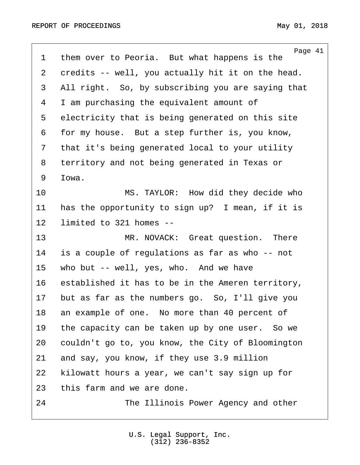<span id="page-40-0"></span>

| 1  | Page 41<br>them over to Peoria. But what happens is the |
|----|---------------------------------------------------------|
| 2  | credits -- well, you actually hit it on the head.       |
| 3  | All right. So, by subscribing you are saying that       |
| 4  | I am purchasing the equivalent amount of                |
| 5  | electricity that is being generated on this site        |
| 6  | for my house. But a step further is, you know,          |
| 7  | that it's being generated local to your utility         |
| 8  | territory and not being generated in Texas or           |
| 9  | Iowa.                                                   |
| 10 | MS. TAYLOR: How did they decide who                     |
| 11 | has the opportunity to sign up? I mean, if it is        |
| 12 | limited to 321 homes --                                 |
| 13 | MR. NOVACK: Great question.<br>There                    |
| 14 | is a couple of regulations as far as who -- not         |
| 15 | who but -- well, yes, who. And we have                  |
| 16 | established it has to be in the Ameren territory,       |
| 17 | but as far as the numbers go. So, I'll give you         |
| 18 | an example of one. No more than 40 percent of           |
| 19 | the capacity can be taken up by one user. So we         |
| 20 | couldn't go to, you know, the City of Bloomington       |
| 21 | and say, you know, if they use 3.9 million              |
| 22 | kilowatt hours a year, we can't say sign up for         |
| 23 | this farm and we are done.                              |
| 24 | The Illinois Power Agency and other                     |
|    |                                                         |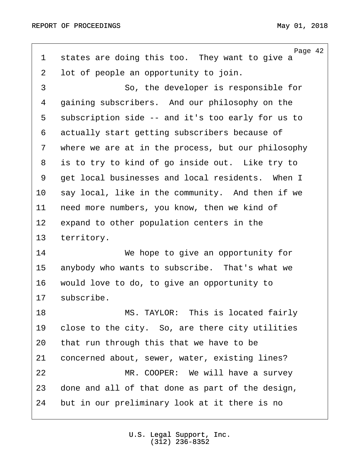<span id="page-41-0"></span>Page 42 1 states are doing this too. They want to give a 2 lot of people an opportunity to join. 3 and So, the developer is responsible for 4 gaining subscribers. And our philosophy on the 5 subscription side -- and it's too early for us to 6 actually start getting subscribers because of 7 where we are at in the process, but our philosophy 8 is to try to kind of go inside out. Like try to 9 get local businesses and local residents. When I 10 say local, like in the community. And then if we 11 need more numbers, you know, then we kind of 12 expand to other population centers in the 13 territory. 14· · · · · · · · We hope to give an opportunity for 15 anybody who wants to subscribe. That's what we 16 would love to do, to give an opportunity to 17 subscribe. 18 · · · · · · · · · MS. TAYLOR: This is located fairly 19 close to the city. So, are there city utilities 20 that run through this that we have to be 21 concerned about, sewer, water, existing lines? 22· · · · · · · · MR. COOPER:· We will have a survey 23 done and all of that done as part of the design, 24 but in our preliminary look at it there is no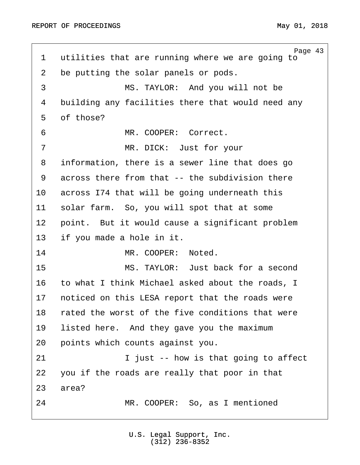<span id="page-42-0"></span>Page 43 1 utilities that are running where we are going to 2 be putting the solar panels or pods. 3 MS. TAYLOR: And you will not be 4 building any facilities there that would need any 5 of those? 6 · · · · · · · · MR. COOPER: Correct. 7 MR. DICK: Just for your 8 information, there is a sewer line that does go 9 across there from that -- the subdivision there 10 across I74 that will be going underneath this 11 solar farm. So, you will spot that at some 12 point. But it would cause a significant problem 13 if you made a hole in it. 14 MR. COOPER: Noted. 15· · · · · · · · MS. TAYLOR:· Just back for a second 16 to what I think Michael asked about the roads, I 17 · noticed on this LESA report that the roads were 18 rated the worst of the five conditions that were 19 Iisted here. And they gave you the maximum 20 · points which counts against you. 21 **I** just -- how is that going to affect 22 you if the roads are really that poor in that 23 area? 24 MR. COOPER: So, as I mentioned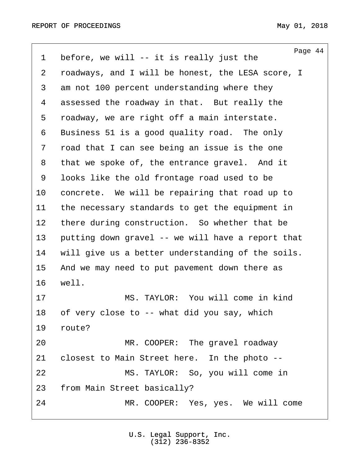<span id="page-43-0"></span>

| $\mathbf 1$    | Page 44<br>before, we will $--$ it is really just the |
|----------------|-------------------------------------------------------|
| $\overline{2}$ | roadways, and I will be honest, the LESA score, I     |
| 3              | am not 100 percent understanding where they           |
| 4              | assessed the roadway in that. But really the          |
| 5              | roadway, we are right off a main interstate.          |
| 6              | Business 51 is a good quality road. The only          |
| 7              | road that I can see being an issue is the one         |
| 8              | that we spoke of, the entrance gravel. And it         |
| 9              | looks like the old frontage road used to be           |
| 10             | concrete. We will be repairing that road up to        |
| 11             | the necessary standards to get the equipment in       |
| 12             | there during construction. So whether that be         |
| 13             | putting down gravel -- we will have a report that     |
| 14             | will give us a better understanding of the soils.     |
| 15             | And we may need to put pavement down there as         |
| 16             | well.                                                 |
| 17             | MS. TAYLOR: You will come in kind                     |
| 18             | of very close to -- what did you say, which           |
| 19             | route?                                                |
| 20             | MR. COOPER: The gravel roadway                        |
| 21             | closest to Main Street here. In the photo --          |
| 22             | MS. TAYLOR: So, you will come in                      |
| 23             | from Main Street basically?                           |
| 24             | MR. COOPER: Yes, yes. We will come                    |
|                |                                                       |

U.S. Legal Support, Inc. (312) 236-8352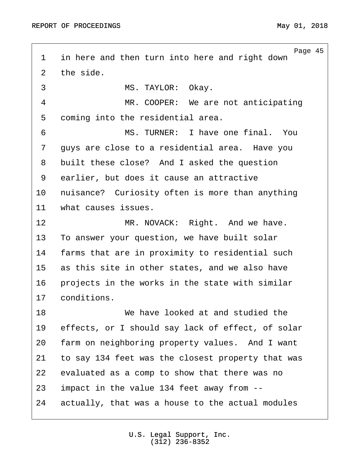<span id="page-44-0"></span>Page 45 1 in here and then turn into here and right down 2 the side. 3 MS. TAYLOR: Okay. 4 MR. COOPER: We are not anticipating 5 coming into the residential area. ·6· · · · · · · · MS. TURNER:· I have one final.· You 7 · guys are close to a residential area. Have you 8 built these close? And I asked the question 9 earlier, but does it cause an attractive 10 · nuisance? Curiosity often is more than anything 11 what causes issues. 12 MR. NOVACK: Right. And we have. 13 To answer your question, we have built solar 14 farms that are in proximity to residential such 15 as this site in other states, and we also have 16 • projects in the works in the state with similar 17 conditions. 18· · · · · · · · We have looked at and studied the 19 effects, or I should say lack of effect, of solar 20 farm on neighboring property values. And I want 21 to say 134 feet was the closest property that was 22 evaluated as a comp to show that there was no 23 impact in the value 134 feet away from  $-$ 24 actually, that was a house to the actual modules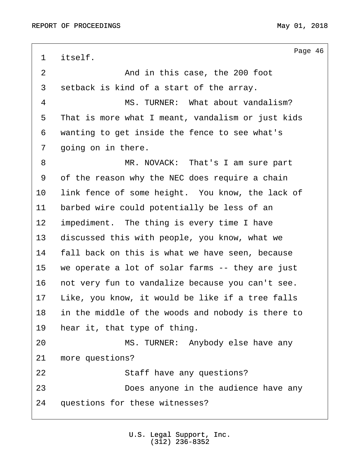<span id="page-45-0"></span>Page 46 1 itself. 2 and in this case, the 200 foot 3 setback is kind of a start of the array. ·4· · · · · · · · MS. TURNER:· What about vandalism? 5 That is more what I meant, vandalism or just kids 6 wanting to get inside the fence to see what's 7 going on in there. 8 · · · · · · · · MR. NOVACK: That's I am sure part 9 of the reason why the NEC does require a chain 10 Iink fence of some height. You know, the lack of 11 barbed wire could potentially be less of an 12 impediment. The thing is every time I have 13 discussed this with people, you know, what we 14 · fall back on this is what we have seen, because 15 we operate a lot of solar farms -- they are just 16 · not very fun to vandalize because you can't see. 17 Like, you know, it would be like if a tree falls 18 in the middle of the woods and nobody is there to 19 hear it, that type of thing. 20 MS. TURNER: Anybody else have any 21 more questions? 22 Staff have any questions? 23 **23 Does anyone in the audience have any** 24 questions for these witnesses?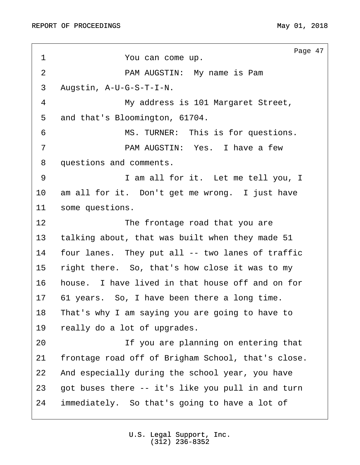<span id="page-46-0"></span>Page 47 1 · · · · · · You can come up. ·2· · · · · · · · PAM AUGSTIN:· My name is Pam 3 Augstin, A-U-G-S-T-I-N. 4 My address is 101 Margaret Street, 5 and that's Bloomington, 61704. 6 · · · · · · · · MS. TURNER: This is for questions. ·7· · · · · · · · PAM AUGSTIN:· Yes.· I have a few 8 questions and comments. 9 · · · · · · · I am all for it. Let me tell you, I 10 am all for it. Don't get me wrong. I just have 11 some questions. 12 **12** The frontage road that you are 13 talking about, that was built when they made 51 14 four lanes. They put all -- two lanes of traffic 15 right there. So, that's how close it was to my 16 house. I have lived in that house off and on for 17 61 years. So, I have been there a long time. 18 That's why I am saying you are going to have to 19 really do a lot of upgrades. 20 1f you are planning on entering that 21 frontage road off of Brigham School, that's close. 22 And especially during the school year, you have 23  $\sigma$  got buses there  $-\sigma$  it's like you pull in and turn 24 immediately. So that's going to have a lot of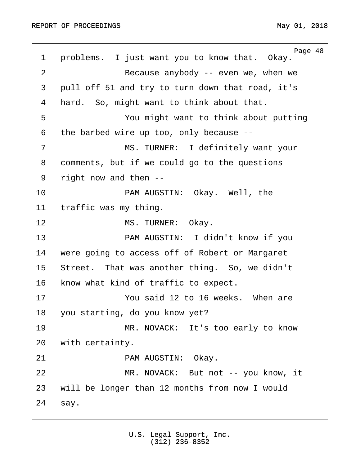<span id="page-47-0"></span>Page 48 1 problems. I just want you to know that. Okay. 2 a · · · · · · · · · · Because anybody -- even we, when we 3 pull off 51 and try to turn down that road, it's 4 hard. So, might want to think about that. 5 · · · · · · You might want to think about putting ·6· ·the barbed wire up too, only because -- 7 · · · · · · · · MS. TURNER: I definitely want your 8 comments, but if we could go to the questions 9 right now and then --10 · · · · · · · · PAM AUGSTIN: Okay. Well, the 11 traffic was my thing. 12 MS. TURNER: Okay. 13· · · · · · · · PAM AUGSTIN:· I didn't know if you 14 were going to access off of Robert or Margaret 15 Street. That was another thing. So, we didn't 16 know what kind of traffic to expect. 17 · · · · · · · You said 12 to 16 weeks. When are 18 you starting, do you know yet? 19 MR. NOVACK: It's too early to know 20 with certainty. 21 · · · · · · PAM AUGSTIN: Okay. 22 MR. NOVACK: But not -- you know, it 23 will be longer than 12 months from now I would  $24$  say.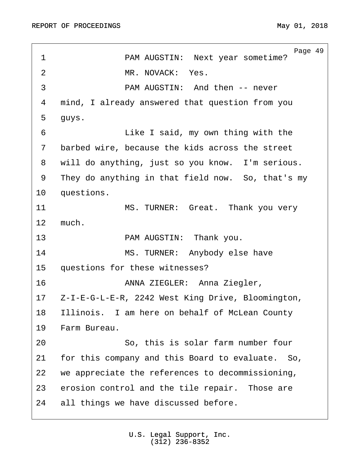<span id="page-48-0"></span>Page 49 1 · · · · · · · PAM AUGSTIN: Next year sometime? ·2· · · · · · · · MR. NOVACK:· Yes. ·3· · · · · · · · PAM AUGSTIN:· And then -- never 4 mind, I already answered that question from you 5 quys. 6 · · · · · · · · · Like I said, my own thing with the 7 barbed wire, because the kids across the street 8 · will do anything, just so you know. I'm serious. 9 They do anything in that field now. So, that's my 10 questions. 11 · · · · · · · MS. TURNER: Great. Thank you very 12 much. 13 · · · · · · · · PAM AUGSTIN: · Thank you. 14 MS. TURNER: Anybody else have 15 questions for these witnesses? 16· · · · · · · · ANNA ZIEGLER:· Anna Ziegler, 17· ·Z-I-E-G-L-E-R, 2242 West King Drive, Bloomington, 18 Illinois. I am here on behalf of McLean County 19 Farm Bureau. 20· · · · · · · · So, this is solar farm number four 21 for this company and this Board to evaluate. So, 22 we appreciate the references to decommissioning, 23 erosion control and the tile repair. Those are 24 all things we have discussed before.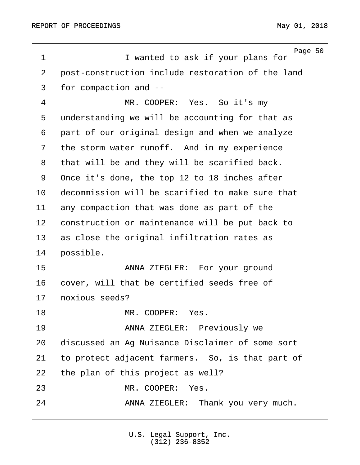<span id="page-49-0"></span>Page 50 1 **I** wanted to ask if your plans for 2 post-construction include restoration of the land 3 for compaction and --4 MR. COOPER: Yes. So it's my 5 understanding we will be accounting for that as 6 part of our original design and when we analyze 7 the storm water runoff. And in my experience 8 that will be and they will be scarified back. 9 Once it's done, the top 12 to 18 inches after 10 decommission will be scarified to make sure that 11 any compaction that was done as part of the 12 construction or maintenance will be put back to 13 as close the original infiltration rates as 14 possible. 15 · · · · · · · · ANNA ZIEGLER: For your ground 16 · cover, will that be certified seeds free of 17 noxious seeds? 18· · · · · · · · MR. COOPER:· Yes. 19 · · · · · · · · · ANNA ZIEGLER: Previously we 20 discussed an Ag Nuisance Disclaimer of some sort 21 to protect adjacent farmers. So, is that part of 22 the plan of this project as well? 23 MR. COOPER: Yes. 24 · · · · · · ANNA ZIEGLER: Thank you very much.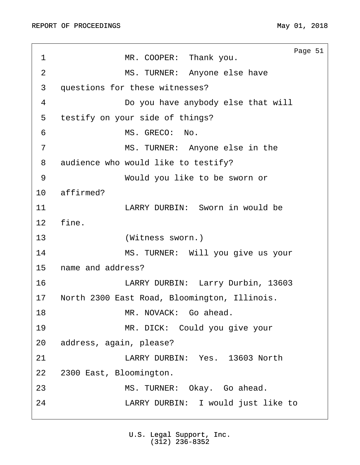<span id="page-50-0"></span>

| 1              | Page 51<br>MR. COOPER: Thank you.            |
|----------------|----------------------------------------------|
| $\overline{2}$ | MS. TURNER: Anyone else have                 |
| 3              | questions for these witnesses?               |
| 4              | Do you have anybody else that will           |
| 5              | testify on your side of things?              |
| 6              | MS. GRECO:<br>No.                            |
| 7              | MS. TURNER: Anyone else in the               |
| 8              | audience who would like to testify?          |
| 9              | Would you like to be sworn or                |
| 10             | affirmed?                                    |
| 11             | LARRY DURBIN: Sworn in would be              |
| 12             | fine.                                        |
| 13             | (Witness sworn.)                             |
| 14             | MS. TURNER: Will you give us your            |
| 15             | name and address?                            |
| 16             | LARRY DURBIN: Larry Durbin, 13603            |
| 17             | North 2300 East Road, Bloomington, Illinois. |
| 18             | MR. NOVACK: Go ahead.                        |
| 19             | MR. DICK: Could you give your                |
| 20             | address, again, please?                      |
| 21             | LARRY DURBIN: Yes. 13603 North               |
| 22             | 2300 East, Bloomington.                      |
| 23             | MS. TURNER: Okay. Go ahead.                  |
| 24             | LARRY DURBIN: I would just like to           |
|                |                                              |

U.S. Legal Support, Inc. (312) 236-8352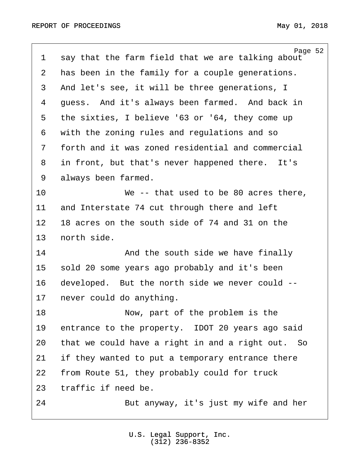<span id="page-51-0"></span>

| $\mathbf 1$ | Page 52<br>say that the farm field that we are talking about |
|-------------|--------------------------------------------------------------|
| 2           | has been in the family for a couple generations.             |
| 3           | And let's see, it will be three generations, I               |
| 4           | quess. And it's always been farmed. And back in              |
| 5           | the sixties, I believe '63 or '64, they come up              |
| 6           | with the zoning rules and regulations and so                 |
| 7           | forth and it was zoned residential and commercial            |
| 8           | in front, but that's never happened there. It's              |
| 9           | always been farmed.                                          |
| 10          | We $-$ - that used to be 80 acres there,                     |
| 11          | and Interstate 74 cut through there and left                 |
| 12          | 18 acres on the south side of 74 and 31 on the               |
| 13          | north side.                                                  |
| 14          | And the south side we have finally                           |
| 15          | sold 20 some years ago probably and it's been                |
| 16          | developed. But the north side we never could --              |
| 17          | never could do anything.                                     |
| 18          | Now, part of the problem is the                              |
| 19          | entrance to the property. IDOT 20 years ago said             |
| 20          | that we could have a right in and a right out. So            |
| 21          | if they wanted to put a temporary entrance there             |
| 22          | from Route 51, they probably could for truck                 |
| 23          | traffic if need be.                                          |
| 24          | But anyway, it's just my wife and her                        |
|             |                                                              |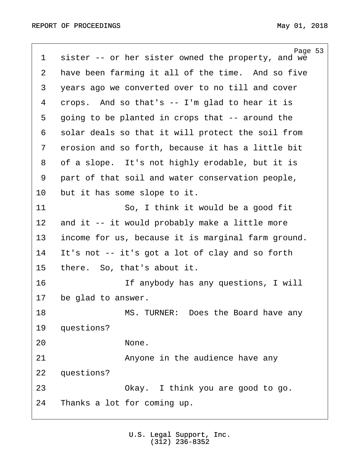<span id="page-52-0"></span>Page 53 1 sister -- or her sister owned the property, and we 2 have been farming it all of the time. And so five 3 years ago we converted over to no till and cover 4  $\,$  crops. And so that's -- I'm glad to hear it is 5 going to be planted in crops that -- around the 6 solar deals so that it will protect the soil from 7 erosion and so forth, because it has a little bit 8 of a slope. It's not highly erodable, but it is 9 part of that soil and water conservation people, 10 but it has some slope to it. 11 · · · · · · So, I think it would be a good fit 12 and it -- it would probably make a little more 13 income for us, because it is marginal farm ground. 14 It's not -- it's got a lot of clay and so forth 15 there. So, that's about it. 16 · · · · · · · If anybody has any questions, I will 17 be glad to answer. 18· · · · · · · · MS. TURNER:· Does the Board have any 19 questions? 20 None. 21 **Anyone in the audience have any** 22 questions? 23 · · · · · Okay. I think you are good to go. 24 Thanks a lot for coming up.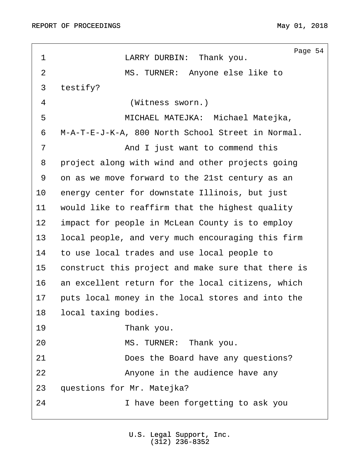<span id="page-53-0"></span>h

| 1              | Page 54<br>LARRY DURBIN: Thank you.                |
|----------------|----------------------------------------------------|
| $\overline{2}$ | MS. TURNER: Anyone else like to                    |
| 3              | testify?                                           |
| 4              | (Witness sworn.)                                   |
| 5              | MICHAEL MATEJKA: Michael Matejka,                  |
| 6              | M-A-T-E-J-K-A, 800 North School Street in Normal.  |
| 7              | And I just want to commend this                    |
| 8              | project along with wind and other projects going   |
| 9              | on as we move forward to the 21st century as an    |
| 10             | energy center for downstate Illinois, but just     |
| 11             | would like to reaffirm that the highest quality    |
| 12             | impact for people in McLean County is to employ    |
| 13             | local people, and very much encouraging this firm  |
| 14             | to use local trades and use local people to        |
| 15             | construct this project and make sure that there is |
| 16             | an excellent return for the local citizens, which  |
| 17             | puts local money in the local stores and into the  |
| 18             | local taxing bodies.                               |
| 19             | Thank you.                                         |
| 20             | MS. TURNER: Thank you.                             |
| 21             | Does the Board have any questions?                 |
| 22             | Anyone in the audience have any                    |
| 23             | questions for Mr. Matejka?                         |
| 24             | I have been forgetting to ask you                  |
|                |                                                    |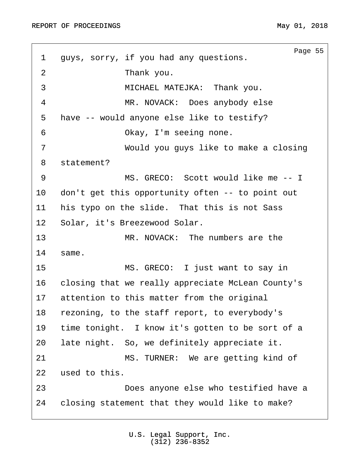<span id="page-54-0"></span>Page 55 1 guys, sorry, if you had any questions. 2 a rhank you. 3 · · · · · · · · MICHAEL MATEJKA: · Thank you. ·4· · · · · · · · MR. NOVACK:· Does anybody else 5 have -- would anyone else like to testify? 6 · · · · · · Okay, I'm seeing none. ·7· · · · · · · · Would you guys like to make a closing 8 statement? 9 · · · · · · · · MS. GRECO: Scott would like me -- I 10 don't get this opportunity often -- to point out 11 his typo on the slide. That this is not Sass 12 Solar, it's Breezewood Solar. 13· · · · · · · · MR. NOVACK:· The numbers are the 14 same. 15 · · · · · · · · MS. GRECO: I just want to say in 16 · closing that we really appreciate McLean County's 17 attention to this matter from the original 18 rezoning, to the staff report, to everybody's 19 time tonight. I know it's gotten to be sort of a 20 late night. So, we definitely appreciate it. 21 MS. TURNER: We are getting kind of 22 used to this. 23· · · · · · · · Does anyone else who testified have a 24 closing statement that they would like to make?

> U.S. Legal Support, Inc. (312) 236-8352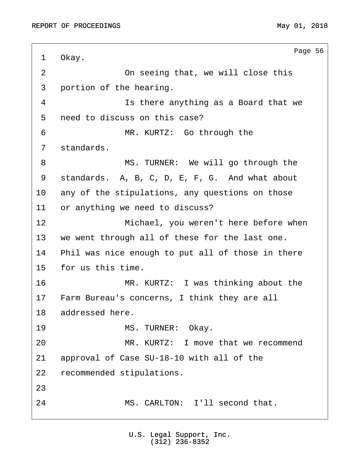<span id="page-55-0"></span>Page 56 1 Okay. ·2· · · · · · · · On seeing that, we will close this 3 portion of the hearing. 4 a statural is there anything as a Board that we 5 need to discuss on this case? ·6· · · · · · · · MR. KURTZ:· Go through the 7 standards. 8 · · · · · · · · MS. TURNER: We will go through the 9 standards. A, B, C, D, E, F, G. And what about 10 any of the stipulations, any questions on those 11 or anything we need to discuss? 12 • · · · · · · Michael, you weren't here before when 13 we went through all of these for the last one. 14 Phil was nice enough to put all of those in there 15 for us this time. 16· · · · · · · · MR. KURTZ:· I was thinking about the 17 Farm Bureau's concerns, I think they are all 18 addressed here. 19· · · · · · · · MS. TURNER:· Okay. 20· · · · · · · · MR. KURTZ:· I move that we recommend 21 approval of Case SU-18-10 with all of the 22 recommended stipulations. 23 24· · · · · · · · MS. CARLTON:· I'll second that.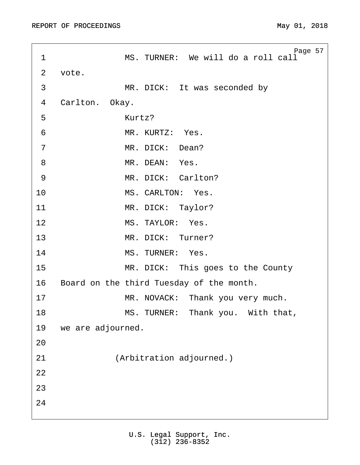<span id="page-56-0"></span>Page 57 1 MS. TURNER: We will do a roll call 2 vote. 3 MR. DICK: It was seconded by 4 Carlton. Okay.  $5$  Kurtz?  $\overline{6}$  **MR. KURTZ:** Yes. 7 MR. DICK: Dean? 8 MR. DEAN: Yes. 9 MR. DICK: Carlton? 10 MS. CARLTON: Yes. 11 MR. DICK: Taylor? 12 MS. TAYLOR: Yes. 13 MR. DICK: Turner? 14 MS. TURNER: Yes. 15· · · · · · · · MR. DICK:· This goes to the County 16 Board on the third Tuesday of the month. 17 · · · · · · · · MR. NOVACK: Thank you very much. 18 · · · · · · · · · MS. TURNER: Thank you. With that, 19 we are adjourned. 20 21 (Arbitration adjourned.) 22 23 24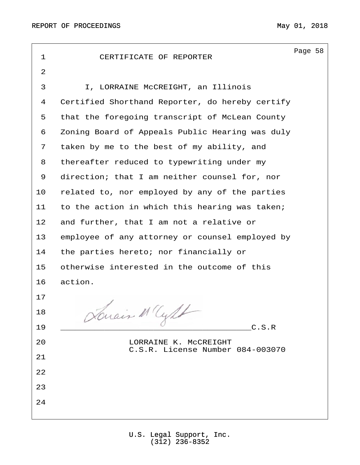| $\mathbf 1$ | CERTIFICATE OF REPORTER                                   | Page 58 |  |
|-------------|-----------------------------------------------------------|---------|--|
| 2           |                                                           |         |  |
| 3           | I, LORRAINE McCREIGHT, an Illinois                        |         |  |
| 4           | Certified Shorthand Reporter, do hereby certify           |         |  |
| 5           | that the foregoing transcript of McLean County            |         |  |
| 6           | Zoning Board of Appeals Public Hearing was duly           |         |  |
| 7           | taken by me to the best of my ability, and                |         |  |
| 8           | thereafter reduced to typewriting under my                |         |  |
| 9           | direction; that I am neither counsel for, nor             |         |  |
| 10          | related to, nor employed by any of the parties            |         |  |
| 11          | to the action in which this hearing was taken;            |         |  |
| 12          | and further, that I am not a relative or                  |         |  |
| 13          | employee of any attorney or counsel employed by           |         |  |
| 14          | the parties hereto; nor financially or                    |         |  |
| 15          | otherwise interested in the outcome of this               |         |  |
| 16          | action.                                                   |         |  |
| 17          |                                                           |         |  |
| 18          | Duais MCML                                                |         |  |
| 19          | C.S.R                                                     |         |  |
| 20          | LORRAINE K. MCCREIGHT<br>C.S.R. License Number 084-003070 |         |  |
| 21          |                                                           |         |  |
| 22          |                                                           |         |  |
| 23          |                                                           |         |  |
| 24          |                                                           |         |  |
|             |                                                           |         |  |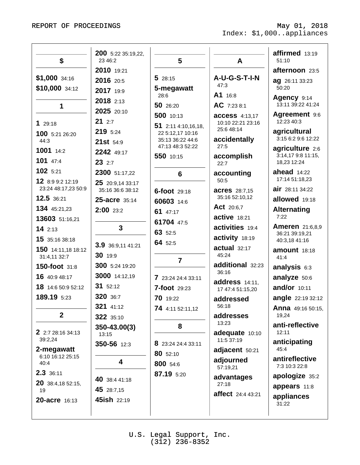| \$                                      | 23 46:2                              | 5                                    | A                                          | affirmed 13:19<br>51:10               |
|-----------------------------------------|--------------------------------------|--------------------------------------|--------------------------------------------|---------------------------------------|
|                                         | 2010 19:21                           |                                      |                                            | afternoon 23:5                        |
| \$1,000 34:16<br>\$10,000 34:12         | 2016 20:5<br>2017 19:9               | 528:15<br>5-megawatt                 | A-U-G-S-T-I-N<br>47:3                      | <b>ag</b> 26:11 33:23<br>50:20        |
| 1                                       | 2018 2:13                            | 28:6<br>50 26:20                     | A1 16:8<br>AC 7:23 8:1                     | Agency 9:14<br>13:11 39:22 41:24      |
| 129:18                                  | 2025 20:10<br>212:7                  | 500 10:13<br>51 2:11 4:10,16,18,     | <b>access</b> 4:13,17<br>10:10 22:21 23:16 | Agreement 9:6<br>12:23 40:3           |
| 100 5:21 26:20<br>44:3                  | 219 5:24<br>21st 54:9                | 22 5:12,17 10:16<br>35:13 36:22 44:6 | 25:6 48:14<br>accidentally                 | agricultural<br>3:15 6:2 9:6 12:22    |
| 1001 14:2<br>$101$ 47:4                 | 2242 49:17                           | 47:13 48:3 52:22<br>550 10:15        | 27:5<br>accomplish                         | agriculture 2:6<br>3:14,17 9:8 11:15, |
| 102 5:21                                | 232:7<br>2300 51:17,22               | 6                                    | 22:7<br>accounting                         | 18,23 12:24<br>ahead $14:22$          |
| 12 8:9 9:2 12:19<br>23:24 48:17,23 50:9 | 25 20:9,14 33:17<br>35:16 36:6 38:12 | 6-foot 29:18                         | 50:5<br><b>acres</b> 28:7,15               | 17:14 51:18,23<br>air 28:1134:22      |
| 12.5 36:21                              | 25-acre 35:14                        | 60603 14:6                           | 35:16 52:10,12                             | allowed 19:18                         |
| 134 45:21,23                            | 2:00 23:2                            | 61 47:17                             | <b>Act</b> 20:6,7                          | <b>Alternating</b>                    |
| 13603 51:16,21                          |                                      | 61704 47:5                           | <b>active</b> 18:21                        | 7:22                                  |
| 142:13                                  | 3                                    | 63 52:5                              | activities 19:4                            | <b>Ameren</b> 21:6,8,9                |
| 15 35:16 38:18                          |                                      | 64 52:5                              | activity 18:19                             | 36:21 39:19,21<br>40:3,18 41:16       |
| 150 14:11,18 18:12<br>31:4,11 32:7      | 3.9 36:9,11 41:21<br>30 19:9         | $\overline{7}$                       | actual 32:17<br>45:24                      | amount 18:18<br>41:4                  |
| 150-foot 31:8                           | 300 5:24 19:20                       |                                      | additional 32:23                           | analysis 6:3                          |
| 16 40:9 48:17                           | 3000 14:12,19                        | 7 23:24 24:4 33:11                   | 36:16                                      | analyze 50:6                          |
| 18 14:6 50:9 52:12                      | 31 52:12                             | <b>7-foot</b> 29:23                  | address 14:11.<br>17 47:4 51:15,20         | and/or 10:11                          |
| 189.19 5:23                             | 320 36:7                             | 70 19:22                             | addressed                                  | <b>angle</b> 22:19 32:12              |
| $\mathbf{2}$                            | 321 41:12                            | 74 4:11 52:11,12                     | 56:18<br>addresses                         | <b>Anna</b> 49:16 50:15,<br>19,24     |
| 2 2:7 28:16 34:13                       | 322 35:10<br>350-43.00(3)<br>13:15   | 8                                    | 13:23<br>adequate 10:10                    | anti-reflective<br>12:11              |
| 39:2,24<br>2-megawatt                   | 350-56 12:3                          | 8 23:24 24:4 33:11<br>80 52:10       | 11:5 37:19<br>adjacent 50:21               | anticipating<br>45:4                  |
| 6:10 16:12 25:15<br>40:4                | 4                                    | 800 54:6                             | adjourned<br>57:19,21                      | antireflective<br>7:3 10:3 22:8       |
| 2.3 36:11                               | 40 38:4 41:18                        | 87.19 5:20                           | advantages                                 | apologize 35:2                        |
| 20 38:4,18 52:15,<br>19                 | 45 28:7,15                           |                                      | 27:18                                      | appears 11:8                          |
| 20-acre 16:13                           | 45ish 22:19                          |                                      | <b>affect</b> 24:4 43:21                   | appliances<br>31:22                   |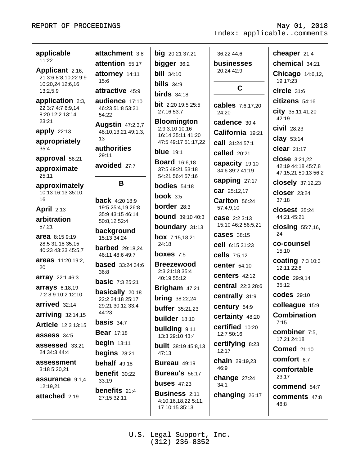| applicable                               | attachment 3:8                            | <b>big</b> 20:21 37:21                    | 36:22 44:6                                 | cheaper 21:4                               |
|------------------------------------------|-------------------------------------------|-------------------------------------------|--------------------------------------------|--------------------------------------------|
| 11:22                                    | attention 55:17                           | bigger 36:2                               | <b>businesses</b>                          | chemical 34:21                             |
| Applicant 2:16,                          | attorney 14:11                            | <b>bill</b> 34:10                         | 20:24 42:9                                 | <b>Chicago</b> 14:6,12,                    |
| 21 3:6 8:8,10,22 9:9<br>10:20,24 12:6,16 | 15:6                                      | $bills$ 34:9                              |                                            | 19 17:23                                   |
| 13:2,5,9                                 | attractive 45:9                           | $\boldsymbol{b}$ irds 34:18               | C                                          | $circle$ 31:6                              |
| application 2:3,                         | audience 17:10                            | <b>bit</b> 2:20 19:5 25:5                 | <b>cables</b> 7:6,17,20                    | citizens 54:16                             |
| 22 3:7 4:7 6:9,14<br>8:20 12:2 13:14     | 46:23 51:8 53:21<br>54:22                 | 27:16 53:7                                | 24:20                                      | <b>City</b> 35:11 41:20                    |
| 23:21                                    | <b>Augstin 47:2,3,7</b>                   | <b>Bloomington</b>                        | cadence 30:4                               | 42:19                                      |
| apply 22:13                              | 48:10,13,21 49:1,3,                       | 2:9 3:10 10:16<br>16:14 35:11 41:20       | California 19:21                           | $civil$ 28:23                              |
| appropriately                            | 13                                        | 47:5 49:17 51:17,22                       | <b>call</b> 31:24 57:1                     | $clay$ 53:14                               |
| 35:4                                     | authorities<br>29:11                      | <b>blue</b> 19:1                          | <b>called</b> 20:21                        | <b>clear</b> 21:17                         |
| approval 56:21                           | avoided 27:7                              | <b>Board</b> 16:6,18                      | capacity 19:10                             | <b>close</b> 3:21,22<br>42:19 44:18 45:7,8 |
| approximate<br>25:11                     |                                           | 37:5 49:21 53:18<br>54:21 56:4 57:16      | 34:6 39:2 41:19                            | 47:15,21 50:13 56:2                        |
| approximately                            | В                                         | <b>bodies</b> $54:18$                     | capping 27:17                              | <b>closely</b> 37:12,23                    |
| 10:13 16:13 35:10,                       |                                           | book $3:5$                                | <b>car</b> 25:12,17                        | closer 23:24                               |
| 16                                       | <b>back</b> 4:20 18:9                     | <b>border</b> 28:3                        | Carlton 56:24                              | 37:18                                      |
| <b>April</b> 2:13                        | 19:5 25:4,19 26:8<br>35:9 43:15 46:14     | <b>bound</b> 39:10 40:3                   | 57:4,9,10                                  | <b>closest</b> 35:24<br>44:21 45:21        |
| arbitration<br>57:21                     | 50:8,12 52:4                              | <b>boundary</b> 31:13                     | <b>case</b> 2:2 3:13<br>15:10 46:2 56:5,21 | <b>closing</b> $55:7,16$ ,                 |
| <b>area</b> 8:15 9:19                    | background                                | <b>box</b> $7:15,18,21$                   | <b>cases</b> 38:15                         | 24                                         |
| 28:5 31:18 35:15                         | 15:13 34:24                               | 24:18                                     | <b>cell</b> 6:15 31:23                     | co-counsel                                 |
| 40:23 43:23 45:5,7                       | <b>barbed</b> 29:18,24<br>46:11 48:6 49:7 | boxes $7:5$                               | <b>cells</b> 7:5,12                        | 15:10                                      |
| <b>areas</b> 11:20 19:2,<br>20           | <b>based</b> 33:24 34:6                   | <b>Breezewood</b>                         | <b>center</b> 54:10                        | <b>coating 7:3 10:3</b><br>12:11 22:8      |
| <b>array</b> 22:1 46:3                   | 36:8                                      | 2:3 21:18 35:4                            | centers $42:12$                            | <b>code</b> 29:9,14                        |
| <b>arrays</b> 6:18,19                    | <b>basic</b> 7:3 25:21                    | 40:19 55:12                               | <b>central</b> 22:3 28:6                   | 35:12                                      |
| 7:2 8:9 10:2 12:10                       | <b>basically</b> 20:18                    | Brigham 47:21                             | centrally 31:9                             | <b>codes</b> 29:10                         |
| $arrived$ 32:14                          | 22:2 24:18 25:17<br>29:21 30:12 33:4      | <b>bring</b> $38:22,24$                   | century 54:9                               | colleague 15:9                             |
| $\arrying$ 32:14,15                      | 44:23                                     | <b>buffer</b> $35:21,23$<br>builder 18:10 | certainty 48:20                            | <b>Combination</b>                         |
| <b>Article</b> 12:3 13:15                | <b>basis</b> $34:7$                       |                                           | certified 10:20                            | 7:15                                       |
| assess 34:5                              | <b>Bear</b> 17:18                         | building 9:11<br>13:3 29:10 43:4          | 12:7 50:16                                 | <b>combiner</b> 7:5,                       |
| assessed 33:21.                          | begin $13:11$                             | <b>built</b> 38:19 45:8,13                | <b>certifying 8:23</b>                     | 17,21 24:18<br><b>Comed</b> 21:10          |
| 24 34:3 44:4                             | begins $28:21$                            | 47:13                                     | 12:17                                      |                                            |
| assessment                               | behalf 49:18                              | <b>Bureau 49:19</b>                       | <b>chain</b> 29:19,23<br>46:9              | comfort 6:7                                |
| 3:18 5:20,21                             | <b>benefit</b> 30:22                      | Bureau's 56:17                            | change $27:24$                             | comfortable<br>23:17                       |
| assurance 9:1,4<br>12:19,21              | 33:19                                     | buses $47:23$                             | 34:1                                       | <b>commend</b> 54:7                        |
| attached 2:19                            | <b>benefits</b> 21:4<br>27:15 32:11       | <b>Business 2:11</b>                      | changing 26:17                             | <b>comments</b> 47:8                       |
|                                          |                                           | 4:10,16,18,22 5:11,<br>17 10:15 35:13     |                                            | 48:8                                       |
|                                          |                                           |                                           |                                            |                                            |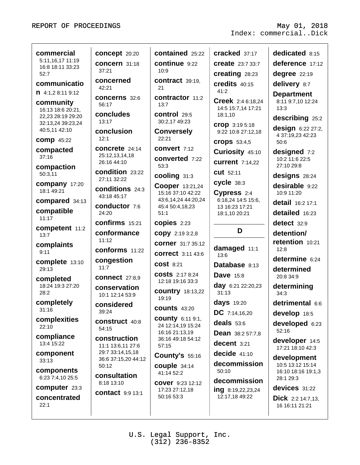| commercial                             | concept 20:20                         | contained 25:22                            | cracked 37:17                           | dedicated 8:15                             |
|----------------------------------------|---------------------------------------|--------------------------------------------|-----------------------------------------|--------------------------------------------|
| 5:11,16,17 11:19<br>16:8 18:11 33:23   | <b>concern</b> 31:18                  | continue 9:22                              | <b>create</b> 23:7 33:7                 | deference 17:12                            |
| 52:7                                   | 37:21                                 | 10:9                                       | creating 28:23                          | degree 22:19                               |
| communicatio                           | concerned<br>42:21                    | contract 39:19,<br>21                      | credits 40:15                           | delivery 8:7                               |
| 1.4:1,28:119:12                        | <b>concerns</b> 32:6                  | contractor 11:2                            | 41:2                                    | <b>Department</b>                          |
| community                              | 56:17                                 | 13:7                                       | Creek 2:4 6:18,24<br>14:5 15:7,14 17:21 | 8:11 9:7,10 12:24<br>13:3                  |
| 16:13 18:6 20:21,<br>22,23 28:19 29:20 | concludes                             | control 29:5                               | 18:1,10                                 | describing 25:2                            |
| 32:13,24 39:23,24                      | 13:17                                 | 30:2,17 49:23                              | Crop 3:19 5:18                          | design 6:22 27:2,                          |
| 40:5,11 42:10<br><b>comp</b> 45:22     | conclusion<br>12:1                    | <b>Conversely</b><br>22:21                 | 9:22 10:8 27:12,18                      | 4 37:19,23 42:23                           |
| compacted                              | <b>concrete</b> 24:14                 | <b>convert</b> 7:12                        | <b>crops</b> 53:4,5                     | 50:6                                       |
| 37:16                                  | 25:12,13,14,18                        | converted 7:22                             | Curiosity 45:10                         | designed 7:2<br>10:2 11:6 22:5             |
| compaction                             | 26:16 44:10                           | 53:3                                       | <b>current</b> 7:14,22                  | 27:10 29:8                                 |
| 50:3,11                                | condition 23:22<br>27:11 32:22        | cooling 31:3                               | <b>CUt</b> 52:11                        | designs 28:24                              |
| <b>company</b> 17:20<br>18:1 49:21     | conditions 24:3                       | Cooper 13:21,24                            | cycle 38:3                              | desirable 9:22                             |
| compared 34:13                         | 43:18 45:17                           | 15:16 37:10 42:22<br>43:6,14,24 44:20,24   | C <sup>2:4</sup><br>6:18,24 14:5 15:6,  | 10:9 11:20                                 |
| compatible                             | conductor 7:6<br>24:20                | 45:4 50:4,18,23                            | 13 16:23 17:21                          | detail 16:2 17:1<br>detailed 16:23         |
| 11:17                                  | <b>confirms</b> 15:21                 | 51:1<br>copies 2:23                        | 18:1,10 20:21                           |                                            |
| competent 11:2                         |                                       |                                            | D                                       | detect 32:9                                |
| 13:7                                   | conformance<br>11:12                  | <b>CODY</b> 2:19 3:2,8                     |                                         | detention/<br>retention 10:21              |
| complaints<br>9:11                     | <b>conforms</b> 11:22                 | <b>corner</b> 31:7 35:12                   | damaged 11:1                            |                                            |
|                                        |                                       |                                            |                                         | 12:8                                       |
|                                        | congestion                            | <b>correct</b> 3:11 43:6                   | 13:6                                    | determine 6:24                             |
| complete 13:10<br>29:13                | 11:7                                  | <b>COSt</b> 8:21                           | Database 8:13                           | determined                                 |
| completed                              | <b>connect</b> 27:8,9                 | <b>COStS</b> 2:17 8:24<br>12:18 19:16 33:3 | <b>Dave</b> 15:8                        | 20:8 34:9                                  |
| 18:24 19:3 27:20<br>28:2               | conservation                          | <b>country</b> 18:13,22                    | <b>day</b> 6:21 22:20,23<br>31:13       | determining<br>34:3                        |
| completely                             | 10:1 12:14 53:9                       | 19:19                                      | <b>days</b> 19:20                       | detrimental 6:6                            |
| 31:16                                  | considered<br>39:24                   | <b>counts 43:20</b>                        | DC 7:14,16,20                           | develop 18:5                               |
| complexities                           | <b>construct</b> 40:8                 | <b>COUNTY</b> 6:11 9:1,                    | deals $53:6$                            | developed 6:23                             |
| 22:10                                  | 54:15                                 | 24 12:14,19 15:24<br>16:16 21:13,19        | <b>Dean</b> 38:2 57:7,8                 | 52:16                                      |
| compliance<br>13:4 15:22               | construction                          | 36:16 49:18 54:12<br>57:15                 | decent 3:21                             | developer 14:5                             |
| component                              | 11:1 13:6,11 27:6<br>29:7 33:14,15,18 | <b>County's 55:16</b>                      | decide $41:10$                          | 17:21 18:10 42:3                           |
| 33:13                                  | 36:6 37:15,20 44:12<br>50:12          | couple $34:14$                             | decommission                            | development<br>10:5 13:12 15:14            |
| components                             | consultation                          | 41:14 52:2                                 | 50:10                                   | 16:10 18:16 19:1,3                         |
| 6:23 7:4,10 25:5                       | 8:18 13:10                            | <b>COVEr</b> 9:23 12:12                    | decommission                            | 28:1 29:3                                  |
| computer 23:3<br>concentrated          | <b>contact</b> 9:9 13:1               | 17:23 27:12,18<br>50:16 53:3               | ing 8:19,22,23,24<br>12:17,18 49:22     | devices 31:22                              |
| 22:1                                   |                                       |                                            |                                         | <b>Dick</b> 2:2 14:7,13,<br>16 16:11 21:21 |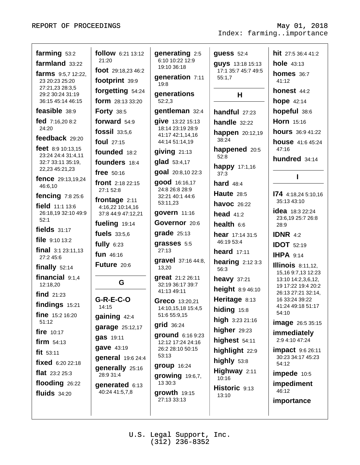| farming 53:2<br>follow 6:21 13:12<br>generating 2:5<br>hit 27:5 36:4 41:2<br><b>guess</b> 52:4<br>6:10 10:22 12:9<br>21:20<br>farmland 33:22<br><b>hole</b> 43:13<br><b>guys</b> 13:18 15:13<br>19:10 36:18<br>foot 29:18,23 46:2<br>17:1 35:7 45:7 49:5<br>homes $36:7$<br><b>farms</b> 9:5,7 12:22,<br>generation 7:11<br>55:1,7<br>footprint 39:9<br>23 20:23 25:20<br>41:12<br>19:8<br>27:21,23 28:3,5<br>forgetting 54:24<br>honest 44:2<br>generations<br>H<br>29:2 30:24 31:19<br>form 28:13 33:20<br><b>hope</b> 42:14<br>52:2,3<br>36:15 45:14 46:15<br>feasible 38:9<br>hopeful 38:6<br>gentleman 32:4<br><b>Forty 38:5</b><br>handful $27:23$<br>fed 7:16,20 8:2<br>forward 54:9<br>give 13:22 15:13<br>Horn 15:16<br>handle $32:22$<br>24:20<br>18:14 23:19 28:9<br>fossil 33:5,6<br><b>hours</b> 36:9 41:22<br>happen 20:12,19<br>41:17 42:1,14,16<br>feedback 29:20<br>38:24<br>foul $27:15$<br>44:14 51:14,19<br><b>house</b> 41:6 45:24<br><b>feet</b> $8:9 10:13,15$<br>47:16<br>happened 20:5<br>giving 21:13<br>founded 18:2<br>23:24 24:4 31:4,11<br>52:8<br>hundred 34:14<br>glad 53:4,17<br>founders 18:4<br>32:7 33:11 35:19,<br><b>happy</b> 17:1,16<br>22,23 45:21,23<br>goal 20:8,10 22:3<br>free $50:16$<br>37:3<br>fence 29:13,19,24<br>good 16:16,17<br>front 2:18 22:15<br>hard $48:4$<br>46:6,10<br>24:8 26:8 28:9<br>27:1 52:8<br><b>Haute</b> 28:5<br>174 4:18,24 5:10,16<br><b>fencing</b> 7:8 25:6<br>32:21 40:1 44:6<br>frontage 2:11<br>35:13 43:10<br>53:11,23<br><b>havoc</b> 26:22<br>field 11:1 13:6<br>4:16,22 10:14,16<br><b>idea</b> 18:3 22:24<br>govern 11:16<br>26:18,19 32:10 49:9<br>37:8 44:9 47:12,21<br>head $41:2$<br>23:6,19 25:7 26:8<br>52:1<br>Governor 20:6<br>fueling 19:14<br>health $6:6$<br>28:9<br>fields $31:17$<br>$grade$ 25:13<br>fuels 33:5,6<br><b>IDNR</b> $4:2$<br><b>hear</b> 17:14 31:5<br>file 9:10 13:2<br>46:19 53:4<br>fully $6:23$<br>grasses 5:5<br><b>IDOT</b> 52:19 |  |
|------------------------------------------------------------------------------------------------------------------------------------------------------------------------------------------------------------------------------------------------------------------------------------------------------------------------------------------------------------------------------------------------------------------------------------------------------------------------------------------------------------------------------------------------------------------------------------------------------------------------------------------------------------------------------------------------------------------------------------------------------------------------------------------------------------------------------------------------------------------------------------------------------------------------------------------------------------------------------------------------------------------------------------------------------------------------------------------------------------------------------------------------------------------------------------------------------------------------------------------------------------------------------------------------------------------------------------------------------------------------------------------------------------------------------------------------------------------------------------------------------------------------------------------------------------------------------------------------------------------------------------------------------------------------------------------------------------------------------------------------------------------------------------------------------------------------------------------------------------------------------------------------------------------------------------------------------|--|
|                                                                                                                                                                                                                                                                                                                                                                                                                                                                                                                                                                                                                                                                                                                                                                                                                                                                                                                                                                                                                                                                                                                                                                                                                                                                                                                                                                                                                                                                                                                                                                                                                                                                                                                                                                                                                                                                                                                                                      |  |
|                                                                                                                                                                                                                                                                                                                                                                                                                                                                                                                                                                                                                                                                                                                                                                                                                                                                                                                                                                                                                                                                                                                                                                                                                                                                                                                                                                                                                                                                                                                                                                                                                                                                                                                                                                                                                                                                                                                                                      |  |
|                                                                                                                                                                                                                                                                                                                                                                                                                                                                                                                                                                                                                                                                                                                                                                                                                                                                                                                                                                                                                                                                                                                                                                                                                                                                                                                                                                                                                                                                                                                                                                                                                                                                                                                                                                                                                                                                                                                                                      |  |
|                                                                                                                                                                                                                                                                                                                                                                                                                                                                                                                                                                                                                                                                                                                                                                                                                                                                                                                                                                                                                                                                                                                                                                                                                                                                                                                                                                                                                                                                                                                                                                                                                                                                                                                                                                                                                                                                                                                                                      |  |
|                                                                                                                                                                                                                                                                                                                                                                                                                                                                                                                                                                                                                                                                                                                                                                                                                                                                                                                                                                                                                                                                                                                                                                                                                                                                                                                                                                                                                                                                                                                                                                                                                                                                                                                                                                                                                                                                                                                                                      |  |
|                                                                                                                                                                                                                                                                                                                                                                                                                                                                                                                                                                                                                                                                                                                                                                                                                                                                                                                                                                                                                                                                                                                                                                                                                                                                                                                                                                                                                                                                                                                                                                                                                                                                                                                                                                                                                                                                                                                                                      |  |
|                                                                                                                                                                                                                                                                                                                                                                                                                                                                                                                                                                                                                                                                                                                                                                                                                                                                                                                                                                                                                                                                                                                                                                                                                                                                                                                                                                                                                                                                                                                                                                                                                                                                                                                                                                                                                                                                                                                                                      |  |
|                                                                                                                                                                                                                                                                                                                                                                                                                                                                                                                                                                                                                                                                                                                                                                                                                                                                                                                                                                                                                                                                                                                                                                                                                                                                                                                                                                                                                                                                                                                                                                                                                                                                                                                                                                                                                                                                                                                                                      |  |
|                                                                                                                                                                                                                                                                                                                                                                                                                                                                                                                                                                                                                                                                                                                                                                                                                                                                                                                                                                                                                                                                                                                                                                                                                                                                                                                                                                                                                                                                                                                                                                                                                                                                                                                                                                                                                                                                                                                                                      |  |
|                                                                                                                                                                                                                                                                                                                                                                                                                                                                                                                                                                                                                                                                                                                                                                                                                                                                                                                                                                                                                                                                                                                                                                                                                                                                                                                                                                                                                                                                                                                                                                                                                                                                                                                                                                                                                                                                                                                                                      |  |
|                                                                                                                                                                                                                                                                                                                                                                                                                                                                                                                                                                                                                                                                                                                                                                                                                                                                                                                                                                                                                                                                                                                                                                                                                                                                                                                                                                                                                                                                                                                                                                                                                                                                                                                                                                                                                                                                                                                                                      |  |
|                                                                                                                                                                                                                                                                                                                                                                                                                                                                                                                                                                                                                                                                                                                                                                                                                                                                                                                                                                                                                                                                                                                                                                                                                                                                                                                                                                                                                                                                                                                                                                                                                                                                                                                                                                                                                                                                                                                                                      |  |
|                                                                                                                                                                                                                                                                                                                                                                                                                                                                                                                                                                                                                                                                                                                                                                                                                                                                                                                                                                                                                                                                                                                                                                                                                                                                                                                                                                                                                                                                                                                                                                                                                                                                                                                                                                                                                                                                                                                                                      |  |
|                                                                                                                                                                                                                                                                                                                                                                                                                                                                                                                                                                                                                                                                                                                                                                                                                                                                                                                                                                                                                                                                                                                                                                                                                                                                                                                                                                                                                                                                                                                                                                                                                                                                                                                                                                                                                                                                                                                                                      |  |
|                                                                                                                                                                                                                                                                                                                                                                                                                                                                                                                                                                                                                                                                                                                                                                                                                                                                                                                                                                                                                                                                                                                                                                                                                                                                                                                                                                                                                                                                                                                                                                                                                                                                                                                                                                                                                                                                                                                                                      |  |
|                                                                                                                                                                                                                                                                                                                                                                                                                                                                                                                                                                                                                                                                                                                                                                                                                                                                                                                                                                                                                                                                                                                                                                                                                                                                                                                                                                                                                                                                                                                                                                                                                                                                                                                                                                                                                                                                                                                                                      |  |
|                                                                                                                                                                                                                                                                                                                                                                                                                                                                                                                                                                                                                                                                                                                                                                                                                                                                                                                                                                                                                                                                                                                                                                                                                                                                                                                                                                                                                                                                                                                                                                                                                                                                                                                                                                                                                                                                                                                                                      |  |
|                                                                                                                                                                                                                                                                                                                                                                                                                                                                                                                                                                                                                                                                                                                                                                                                                                                                                                                                                                                                                                                                                                                                                                                                                                                                                                                                                                                                                                                                                                                                                                                                                                                                                                                                                                                                                                                                                                                                                      |  |
|                                                                                                                                                                                                                                                                                                                                                                                                                                                                                                                                                                                                                                                                                                                                                                                                                                                                                                                                                                                                                                                                                                                                                                                                                                                                                                                                                                                                                                                                                                                                                                                                                                                                                                                                                                                                                                                                                                                                                      |  |
| $final$ 3:1 23:11,13<br>27:13<br>heard $17:11$<br>fun 46:16<br><b>IHPA</b> 9:14<br>27:2 45:6                                                                                                                                                                                                                                                                                                                                                                                                                                                                                                                                                                                                                                                                                                                                                                                                                                                                                                                                                                                                                                                                                                                                                                                                                                                                                                                                                                                                                                                                                                                                                                                                                                                                                                                                                                                                                                                         |  |
| gravel 37:16 44:8,<br><b>hearing</b> $2:123:3$<br>Future 20:6<br><b>Illinois</b> 8:11,12,<br>finally $52:14$<br>13,20<br>56:3                                                                                                                                                                                                                                                                                                                                                                                                                                                                                                                                                                                                                                                                                                                                                                                                                                                                                                                                                                                                                                                                                                                                                                                                                                                                                                                                                                                                                                                                                                                                                                                                                                                                                                                                                                                                                        |  |
| 15,16 9:7,13 12:23<br>financial $9:1,4$<br>great 21:2 26:11<br><b>heavy</b> 37:21<br>13:10 14:2,3,6,12,<br>G                                                                                                                                                                                                                                                                                                                                                                                                                                                                                                                                                                                                                                                                                                                                                                                                                                                                                                                                                                                                                                                                                                                                                                                                                                                                                                                                                                                                                                                                                                                                                                                                                                                                                                                                                                                                                                         |  |
| 12:18,20<br>32:19 36:17 39:7<br>19 17:22 19:4 20:2<br>height 8:9 46:10<br>41:13 49:11<br>26:13 27:21 32:14,                                                                                                                                                                                                                                                                                                                                                                                                                                                                                                                                                                                                                                                                                                                                                                                                                                                                                                                                                                                                                                                                                                                                                                                                                                                                                                                                                                                                                                                                                                                                                                                                                                                                                                                                                                                                                                          |  |
| find $21:23$<br>Heritage 8:13<br><b>G-R-E-C-O</b><br>16 33:24 39:22<br>Greco 13:20,21                                                                                                                                                                                                                                                                                                                                                                                                                                                                                                                                                                                                                                                                                                                                                                                                                                                                                                                                                                                                                                                                                                                                                                                                                                                                                                                                                                                                                                                                                                                                                                                                                                                                                                                                                                                                                                                                |  |
| findings 15:21<br>41:24 49:18 51:17<br>14:15<br>14:10,15,18 15:4,5<br>hiding 15:8<br>54:10                                                                                                                                                                                                                                                                                                                                                                                                                                                                                                                                                                                                                                                                                                                                                                                                                                                                                                                                                                                                                                                                                                                                                                                                                                                                                                                                                                                                                                                                                                                                                                                                                                                                                                                                                                                                                                                           |  |
| <b>fine</b> $15:2 16:20$<br>51:6 55:9,15<br>gaining 42:4<br>high 3:23 21:16<br>51:12<br><b>image</b> 26:5 35:15                                                                                                                                                                                                                                                                                                                                                                                                                                                                                                                                                                                                                                                                                                                                                                                                                                                                                                                                                                                                                                                                                                                                                                                                                                                                                                                                                                                                                                                                                                                                                                                                                                                                                                                                                                                                                                      |  |
| <b>grid</b> 36:24<br>garage 25:12,17<br>higher $29:23$<br>fire $10:17$<br><i>immediately</i>                                                                                                                                                                                                                                                                                                                                                                                                                                                                                                                                                                                                                                                                                                                                                                                                                                                                                                                                                                                                                                                                                                                                                                                                                                                                                                                                                                                                                                                                                                                                                                                                                                                                                                                                                                                                                                                         |  |
| ground 6:16 9:23<br><b>gas</b> 19:11<br>highest 54:11<br>2:9 4:10 47:24<br>firm $54:13$<br>12:12 17:24 24:16                                                                                                                                                                                                                                                                                                                                                                                                                                                                                                                                                                                                                                                                                                                                                                                                                                                                                                                                                                                                                                                                                                                                                                                                                                                                                                                                                                                                                                                                                                                                                                                                                                                                                                                                                                                                                                         |  |
| gave 43:19<br>26:2 28:10 50:15<br>highlight 22:9<br><b>impact</b> 9:6 26:11<br>fit 53:11                                                                                                                                                                                                                                                                                                                                                                                                                                                                                                                                                                                                                                                                                                                                                                                                                                                                                                                                                                                                                                                                                                                                                                                                                                                                                                                                                                                                                                                                                                                                                                                                                                                                                                                                                                                                                                                             |  |
| 53:13<br>30:23 34:17 45:23<br>general 19:6 24:4<br>highly 53:8<br>fixed 6:20 22:18<br>54:12                                                                                                                                                                                                                                                                                                                                                                                                                                                                                                                                                                                                                                                                                                                                                                                                                                                                                                                                                                                                                                                                                                                                                                                                                                                                                                                                                                                                                                                                                                                                                                                                                                                                                                                                                                                                                                                          |  |
| <b>group</b> 16:24<br>generally 25:16<br>Highway 2:11<br><b>flat</b> $23:225:3$<br>impede 10:5<br>28:9 31:4                                                                                                                                                                                                                                                                                                                                                                                                                                                                                                                                                                                                                                                                                                                                                                                                                                                                                                                                                                                                                                                                                                                                                                                                                                                                                                                                                                                                                                                                                                                                                                                                                                                                                                                                                                                                                                          |  |
| <b>growing</b> 19:6,7,<br>10:16<br>flooding 26:22<br>13 30:3<br>impediment<br>generated 6:13                                                                                                                                                                                                                                                                                                                                                                                                                                                                                                                                                                                                                                                                                                                                                                                                                                                                                                                                                                                                                                                                                                                                                                                                                                                                                                                                                                                                                                                                                                                                                                                                                                                                                                                                                                                                                                                         |  |
| Historic 9:13<br>46:12<br>40:24 41:5,7,8<br>growth 19:15<br>fluids $34:20$<br>13:10                                                                                                                                                                                                                                                                                                                                                                                                                                                                                                                                                                                                                                                                                                                                                                                                                                                                                                                                                                                                                                                                                                                                                                                                                                                                                                                                                                                                                                                                                                                                                                                                                                                                                                                                                                                                                                                                  |  |
| 27:13 33:13<br>importance                                                                                                                                                                                                                                                                                                                                                                                                                                                                                                                                                                                                                                                                                                                                                                                                                                                                                                                                                                                                                                                                                                                                                                                                                                                                                                                                                                                                                                                                                                                                                                                                                                                                                                                                                                                                                                                                                                                            |  |
|                                                                                                                                                                                                                                                                                                                                                                                                                                                                                                                                                                                                                                                                                                                                                                                                                                                                                                                                                                                                                                                                                                                                                                                                                                                                                                                                                                                                                                                                                                                                                                                                                                                                                                                                                                                                                                                                                                                                                      |  |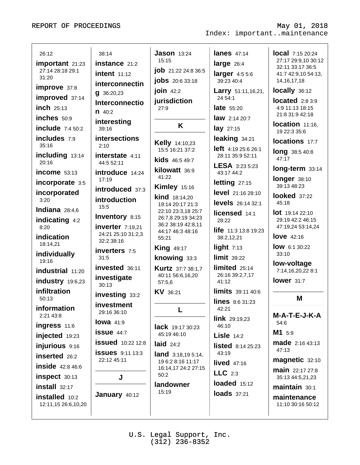12:11,15 26:6,10,20

| 26:12                    | 38:14                            | <b>Jason</b> $13:24$                   | <b>lanes</b> 47:14               | <b>local</b> 7:15 20:24                      |
|--------------------------|----------------------------------|----------------------------------------|----------------------------------|----------------------------------------------|
| important 21:23          | instance 21:2                    | 15:15                                  | large $26:4$                     | 27:17 29:9,10 30:12                          |
| 27:14 28:18 29:1         | <b>intent</b> 11:12              | <b>job</b> 21:22 24:8 36:5             | larger $4:55:6$                  | 32:11 33:17 36:5<br>41:7 42:9,10 54:13,      |
| 31:20                    | interconnectin                   | <b>jobs</b> 20:6 33:18                 | 39:23 40:4                       | 14, 16, 17, 18                               |
| improve 37:8             | $g$ 36:20,23                     | join 42:2                              | <b>Larry</b> 51:11,16,21,        | locally 36:12                                |
| improved 37:14           | Interconnectio                   | jurisdiction                           | 24 54:1                          | located $2:83:9$                             |
| $inch$ 25:13             | $n \, 40:2$                      | 27:9                                   | <b>late</b> 55:20                | 4:9 11:13 18:15                              |
| inches 50:9              | interesting                      |                                        | <b>law</b> 2:14 20:7             | 21:8 31:9 42:18                              |
| include $7:450:2$        | 39:16                            | K                                      | $lay$ 27:15                      | location 11:16,<br>19 22:3 35:6              |
| includes 7:9             | intersections                    | Kelly 14:10,23                         | leaking 34:21                    | locations 17:7                               |
| 35:16                    | 2:10                             | 15:5 16:21 37:2                        | left 4:19 25:6 26:1              | long 38:5 40:8                               |
| including 13:14<br>20:16 | interstate 4:11<br>44:5 52:11    | <b>kids</b> 46:5 49:7                  | 28:11 35:9 52:11                 | 47:17                                        |
| income 53:13             | introduce 14:24                  | kilowatt 36:9                          | LESA 3:23 5:23<br>43:17 44:2     | long-term 33:14                              |
| incorporate 3:5          | 17:19                            | 41:22                                  | letting 27:15                    | longer 38:10                                 |
| incorporated             | introduced 37:3                  | <b>Kimley 15:16</b>                    | level 21:16 28:10                | 39:13 48:23                                  |
| 3:20                     | <b>introduction</b>              | <b>kind</b> 18:14,20                   |                                  | looked 37:22<br>45:18                        |
| Indiana $28:4.6$         | 15:5                             | 19:14 20:17 21:3<br>22:10 23:3,18 25:7 | <b>levels</b> 26:14 32:1         |                                              |
| indicating 4:2           | Inventory 8:15                   | 26:7,8 29:19 34:23                     | licensed 14:1<br>28:22           | $\text{lot}$ 19:14 22:10<br>29:19 42:2 46:15 |
| 8:20                     | inverter 7:19,21                 | 36:2 38:19 42:8,11                     | life 11:3 13:8 19:23             | 47:19,24 53:14,24                            |
| indication               | 24:21 25:10 31:2,3<br>32:2 38:16 | 44:17 46:3 48:16<br>55:21              | 38:2,12,21                       | <b>love</b> 42:16                            |
| 18:14,21                 |                                  | <b>King 49:17</b>                      | light $7:13$                     | <b>low</b> 6:1 30:22                         |
| individually             | <b>inverters</b> 7:5<br>31:5     | knowing 33:3                           | $limit$ 39:22                    | 33:10                                        |
| 19:16                    | invested 36:11                   | <b>Kurtz</b> 37:7 38:1,7               | limited $25:14$                  | low-voltage                                  |
| industrial 11:20         | investigate                      | 40:11 56:6,16,20                       | 26:16 39:2,7,17                  | 7:14,16,20,22 8:1                            |
| industry 19:6,23         | 30:13                            | 57:5,6                                 | 41:12                            | lower 31:7                                   |
| infiltration<br>50:13    | investing 33:2                   | KV 36:21                               | limits 39:11 40:6                | M                                            |
| information              | investment                       |                                        | <b>lines</b> $8:631:23$<br>42:21 |                                              |
| 2:21 43:8                | 29:16 36:10                      | L                                      |                                  | M-A-T-E-J-K-A                                |
| ingress 11:6             | lowa $41:9$                      | <b>lack</b> 19:17 30:23                | <b>link</b> $29:19,23$<br>46:10  | 54:6                                         |
| injected 19:23           | $i$ ssue $44:7$                  | 45:19 46:10                            | <b>Lisle</b> $14:2$              | M1 5:9                                       |
| injurious 9:16           | <b>issued</b> 10:22 12:8         | laid $24:2$                            | <b>listed</b> $8:1425:23$        | <b>made</b> 2:16 43:13                       |
| inserted 26:2            | <b>issues</b> 9:11 13:3          | <b>land</b> $3:18,195:14$ ,            | 43:19                            | 47:13                                        |
| <b>inside</b> 42:8 46:6  | 22:12 45:11                      | 19 6:2 8:16 11:17                      | lived $47:16$                    | magnetic 32:10                               |
| inspect 30:13            | J                                | 16:14,17 24:2 27:15<br>50:2            | $LLC$ 2:3                        | <b>main</b> 22:17 27:8<br>35:13 44:5,21,23   |
| install 32:17            |                                  | landowner                              | loaded 15:12                     | maintain 30:1                                |
| installed 10:2           | January 40:12                    | 15:19                                  | <b>loads</b> 37:21               | maintenance                                  |

Index: important..maintenance

May 01, 2018

11:10 30:16 50:12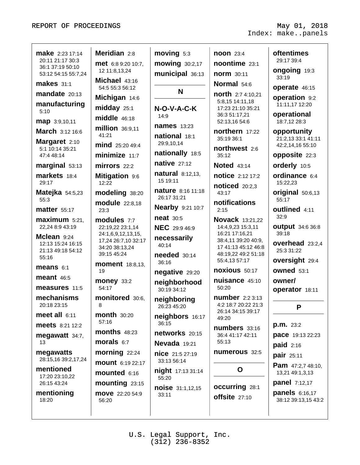| <b>make</b> 2:23 17:14<br>20:11 21:17 30:3<br>36:1 37:19 50:10<br>53:12 54:15 55:7,24<br><b>makes</b> 31:1<br>$mandate$ $20:13$<br>manufacturing<br>5:10<br>map 3:9,10,11<br>March 3:12 16:6<br>Margaret 2:10<br>5:1 10:14 35:21<br>47:4 48:14<br>marginal 53:13<br>markets 18:4<br>29:17<br><b>Matejka</b> 54:5,23<br>55:3<br><b>matter</b> 55:17<br>$maximum$ 5:21,<br>22,24 8:9 43:19<br>Mclean 9:24<br>12:13 15:24 16:15<br>21:13 49:18 54:12<br>55:16<br>means $6:1$<br>meant $46:5$<br>measures 11:5<br>mechanisms<br>20:18 23:15<br>meet all $6:11$<br><b>meets</b> 8:21 12:2<br>megawatt 34:7,<br>13<br>megawatts | Meridian 2:8<br><b>met</b> 6:8 9:20 10:7,<br>12 11:8,13,24<br>Michael 43:16<br>54:5 55:3 56:12<br>Michigan 14:6<br>midday 25:1<br>$middle$ $46:18$<br>million 36:9,11<br>41:21<br>mind 25:20 49:4<br>minimize 11:7<br>mirrors 22:2<br>Mitigation 9:6<br>12:22<br>modeling 38:20<br><b>module</b> 22:8,18<br>23:3<br>modules 7:7<br>22:19,22 23:1,14<br>24:1,6,9,12,13,15,<br>17,24 26:7,10 32:17<br>34:20 38:13,24<br>39:15 45:24<br><b>moment</b> 18:8,13,<br>19<br><b>money 33:2</b><br>54:17<br>monitored 30:6,<br>8<br><b>month</b> 30:20<br>57:16<br><b>months</b> 48:23<br>morals $6:7$<br>morning 22:24 | $moving$ 5:3<br>mowing 30:2,17<br>municipal 36:13<br>N<br>N-O-V-A-C-K<br>14:9<br><b>names</b> 13:23<br>national 18:1<br>29:9,10,14<br>nationally 18:5<br>native $27:12$<br><b>natural</b> 8:12,13,<br>15 19:11<br><b>nature</b> 8:16 11:18<br>26:17 31:21<br><b>Nearby 9:21 10:7</b><br><b>neat</b> 30:5<br><b>NEC</b> 29:9 46:9<br>necessarily<br>40:14<br><b>needed</b> 30:14<br>36:16<br>negative 29:20<br>neighborhood<br>30:19 34:12<br>neighboring<br>26:23 45:20<br>neighbors 16:17<br>36:15<br>networks 20:15<br>Nevada 19:21<br>nice 21:5 27:19 | <b>noon</b> 23:4<br>noontime 23:1<br><b>norm</b> 30:11<br>Normal 54:6<br>north 2:7 4:10,21<br>5:8,15 14:11,18<br>17:23 21:10 35:21<br>36:3 51:17,21<br>52:13,16 54:6<br>northern 17:22<br>35:19 36:1<br>northwest 2:6<br>35:12<br><b>Noted</b> 43:14<br><b>notice</b> 2:12 17:2<br><b>noticed</b> 20:2,3<br>43:17<br>notifications<br>2:15<br><b>Novack</b> 13:21,22<br>14:4,9,23 15:3,11<br>16:21 17:16,21<br>38:4,11 39:20 40:9,<br>17 41:13 45:12 46:8<br>48:19,22 49:2 51:18<br>55:4,13 57:17<br>noxious 50:17<br>nuisance 45:10<br>50:20<br><b>number</b> 2:2 3:13<br>4:2 18:7 20:22 21:3<br>26:14 34:15 39:17<br>49:20<br>numbers 33:16<br>36:4 41:17 42:11<br>55:13<br>numerous 32:5 | <b>oftentimes</b><br>29:17 39:4<br><b>ongoing</b> 19:3<br>33:19<br>operate 46:15<br>operation 9:2<br>11:11,17 12:20<br>operational<br>18:7,12 28:3<br>opportunity<br>21:2,13 33:1 41:11<br>42:2,14,16 55:10<br>opposite 22:3<br>orderly 10:5<br>ordinance 6:4<br>15:22,23<br>original 50:6,13<br>55:17<br><b>outlined</b> 4:11<br>32:9<br><b>output</b> 34:6 36:8<br>39:18<br><b>overhead</b> 23:2,4<br>25:3 31:22<br><b>oversight</b> 29:4<br><b>owned</b> 53:1<br>owner/<br><b>operator</b> 18:11<br>P<br><b>p.m.</b> 23:2<br>pace 19:13 22:23<br>paid $2:16$ |
|---------------------------------------------------------------------------------------------------------------------------------------------------------------------------------------------------------------------------------------------------------------------------------------------------------------------------------------------------------------------------------------------------------------------------------------------------------------------------------------------------------------------------------------------------------------------------------------------------------------------------|----------------------------------------------------------------------------------------------------------------------------------------------------------------------------------------------------------------------------------------------------------------------------------------------------------------------------------------------------------------------------------------------------------------------------------------------------------------------------------------------------------------------------------------------------------------------------------------------------------------|----------------------------------------------------------------------------------------------------------------------------------------------------------------------------------------------------------------------------------------------------------------------------------------------------------------------------------------------------------------------------------------------------------------------------------------------------------------------------------------------------------------------------------------------------------|---------------------------------------------------------------------------------------------------------------------------------------------------------------------------------------------------------------------------------------------------------------------------------------------------------------------------------------------------------------------------------------------------------------------------------------------------------------------------------------------------------------------------------------------------------------------------------------------------------------------------------------------------------------------------------------------|-----------------------------------------------------------------------------------------------------------------------------------------------------------------------------------------------------------------------------------------------------------------------------------------------------------------------------------------------------------------------------------------------------------------------------------------------------------------------------------------------------------------------------------------------------------------|
|                                                                                                                                                                                                                                                                                                                                                                                                                                                                                                                                                                                                                           |                                                                                                                                                                                                                                                                                                                                                                                                                                                                                                                                                                                                                |                                                                                                                                                                                                                                                                                                                                                                                                                                                                                                                                                          |                                                                                                                                                                                                                                                                                                                                                                                                                                                                                                                                                                                                                                                                                             | pair 25:11                                                                                                                                                                                                                                                                                                                                                                                                                                                                                                                                                      |
| 28:15,16 39:2,17,24<br>mentioned<br>17:20 23:10,22<br>26:15 43:24<br>mentioning<br>18:20                                                                                                                                                                                                                                                                                                                                                                                                                                                                                                                                  | <b>mount</b> 6:19 22:17<br>mounted 6:16<br>mounting 23:15<br><b>move</b> 22:20 54:9<br>56:20                                                                                                                                                                                                                                                                                                                                                                                                                                                                                                                   | 33:13 56:14<br><b>night</b> 17:13 31:14<br>55:20<br><b>noise</b> 31:1,12,15<br>33:11                                                                                                                                                                                                                                                                                                                                                                                                                                                                     | O<br><b>occurring</b> 28:1<br>offsite 27:10                                                                                                                                                                                                                                                                                                                                                                                                                                                                                                                                                                                                                                                 | Pam 47:2,7 48:10,<br>13,21 49:1,3,13<br><b>panel</b> 7:12,17<br>panels 6:16,17<br>38:12 39:13,15 43:2                                                                                                                                                                                                                                                                                                                                                                                                                                                           |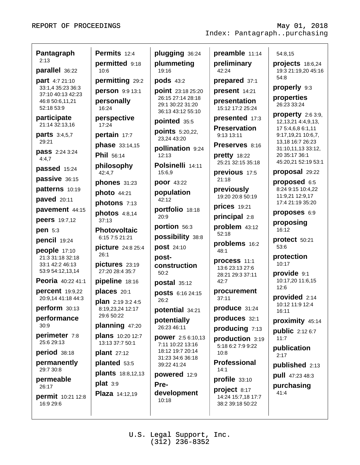| Pantagraph<br>2:13                     | Permits 12:4                               | plugging 36:24                                             | preamble 11:14                                         | 54:8,15                                        |
|----------------------------------------|--------------------------------------------|------------------------------------------------------------|--------------------------------------------------------|------------------------------------------------|
| parallel 36:22                         | permitted 9:18<br>10:6                     | plummeting<br>19:16                                        | preliminary<br>42:24                                   | projects $18:6,24$<br>19:3 21:19,20 45:16      |
| part 4:7 21:10                         | permitting 29:2                            | pods 43:2                                                  | prepared 37:1                                          | 54:8                                           |
| 33:1,4 35:23 36:3<br>37:10 40:13 42:23 | person 9:9 13:1                            | <b>point</b> 23:18 25:20                                   | present 14:21                                          | properly 9:3                                   |
| 46:8 50:6,11,21<br>52:18 53:9          | personally<br>16:24                        | 26:15 27:14 28:18<br>29:1 30:22 31:20<br>36:13 43:12 55:10 | presentation<br>15:12 17:2 25:24                       | properties<br>26:23 33:24                      |
| participate<br>21:14 32:13,16          | perspective<br>17:24                       | pointed 35:5                                               | presented 17:3                                         | property $2:63:9$ ,<br>12, 13, 21 4: 4, 9, 13, |
| <b>parts</b> 3:4,5,7                   | pertain 17:7                               | <b>points</b> 5:20,22,<br>23,24 43:20                      | <b>Preservation</b><br>9:13 13:11                      | 17 5:4,6,8 6:1,11<br>9:17,19,21 10:6,7,        |
| 29:21                                  | <b>phase</b> 33:14,15                      | pollination 9:24                                           | Preserves 8:16                                         | 13,18 16:7 26:23<br>31:10,11,13 33:12,         |
| <b>pass</b> 2:24 3:24<br>4:4,7         | Phil 56:14                                 | 12:13                                                      | pretty 18:22<br>25:21 32:15 35:18                      | 20 35:17 36:1<br>45:20,21 52:19 53:1           |
| passed 15:24                           | philosophy<br>42:4,7                       | Polsinelli 14:11<br>15:6,9                                 | previous 17:5                                          | proposal 29:22                                 |
| passive 36:15                          | phones 31:23                               | poor 43:22                                                 | 21:18                                                  | proposed 6:5                                   |
| patterns 10:19                         | photo 44:21                                | population                                                 | previously<br>19:20 20:8 50:19                         | 8:24 9:15 10:4,22<br>11:9,21 12:9,17           |
| <b>paved</b> 20:11                     | photons 7:13                               | 42:12                                                      | <b>prices</b> 19:21                                    | 17:4 21:19 35:20                               |
| pavement 44:15                         | photos 4:8,14                              | portfolio 18:18<br>20:9                                    | principal 2:8                                          | proposes 6:9                                   |
| <b>peers</b> 19:7,12<br>pen 5:3        | 37:13<br><b>Photovoltaic</b>               | portion 56:3                                               | problem 43:12                                          | proposing<br>16:12                             |
| pencil 19:24                           | 6:15 7:5 21:21                             | possibility 38:8                                           | 52:18                                                  | protect 50:21                                  |
| people 17:10                           | picture 24:8 25:4                          | post 24:10                                                 | problems 16:2<br>48:1                                  | 53:6                                           |
| 21:3 31:18 32:18                       | 26:1                                       | post-                                                      | process 11:1                                           | protection<br>10:17                            |
| 33:1 42:2 46:13<br>53:9 54:12,13,14    | pictures 23:19<br>27:20 28:4 35:7          | construction<br>50:2                                       | 13:6 23:13 27:6<br>28:21 29:3 37:11                    | provide 9:1                                    |
| Peoria 40:22 41:1                      | pipeline 18:16                             | <b>postal</b> 35:12                                        | 42:7                                                   | 10:17,20 11:6,15                               |
| percent 19:9,22                        | places 20:1                                | <b>posts</b> 6:16 24:15                                    | procurement                                            | 12:6<br>provided 2:14                          |
| 20:9,14 41:18 44:3<br>perform 30:13    | plan 2:19 3:2 4:5                          | 26:2                                                       | 37:11<br>produce 31:24                                 | 10:12 11:9 12:4                                |
| performance                            | 8:19,23,24 12:17<br>29:6 50:22             | potential 34:21                                            | produces 32:1                                          | 16:11                                          |
| 30:9                                   | planning 47:20                             | potentially<br>26:23 46:11                                 | producing 7:13                                         | proximity 45:14                                |
| perimeter 7:8<br>25:6 29:13            | <b>plans</b> 10:20 12:7<br>13:13 37:7 50:1 | power 2:5 6:10,13                                          | production 3:19                                        | <b>public</b> 2:12 6:7<br>11:7                 |
| period 38:18                           | plant $27:12$                              | 7:11 10:22 13:16<br>18:12 19:7 20:14                       | 5:18 6:2 7:9 9:22<br>10:8                              | publication<br>2:17                            |
| permanently                            | planted 53:5                               | 31:23 34:6 36:18<br>39:22 41:24                            | <b>Professional</b>                                    | published 2:13                                 |
| 29:7 30:8                              | <b>plants</b> 18:8,12,13                   | <b>powered</b> 12:9                                        | 14:1                                                   | <b>pull</b> 47:23 48:3                         |
| permeable<br>26:17                     | $plat$ 3:9                                 | Pre-                                                       | profile 33:10                                          | purchasing                                     |
| <b>permit</b> 10:21 12:8<br>16:9 29:6  | Plaza 14:12,19                             | development<br>10:18                                       | project 8:17<br>14:24 15:7,18 17:7<br>38:2 39:18 50:22 | 41:4                                           |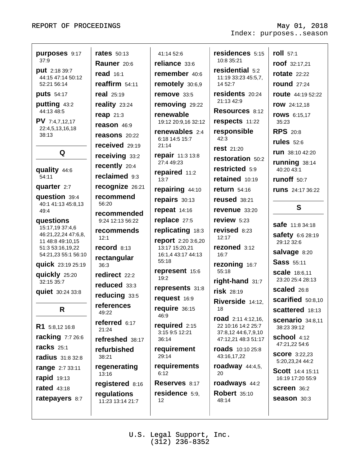May 01, 2018 Index: purposes..season

| purposes 9:17<br>37:9<br><b>put</b> 2:18 39:7<br>44:15 47:14 50:12<br>52:21 56:14<br><b>puts</b> 54:17 | <b>rates</b> 50:13<br>Rauner 20:6<br><b>read</b> 16:1<br>reaffirm 54:11<br>real $25:19$ | 41:14 52:6<br>reliance 33:6<br>remember 40:6<br>remotely 30:6,9<br>remove 33:5                     | residences 5:15<br>10:8 35:21<br>residential 5:2<br>11:19 33:23 45:5,7,<br>14 52:7<br>residents 20:24 | roll 57:1<br>roof 32:17,21<br><b>rotate</b> 22:22<br><b>round</b> 27:24<br><b>route</b> 44:19 52:22 |
|--------------------------------------------------------------------------------------------------------|-----------------------------------------------------------------------------------------|----------------------------------------------------------------------------------------------------|-------------------------------------------------------------------------------------------------------|-----------------------------------------------------------------------------------------------------|
| putting 43:2<br>44:13 48:5<br><b>PV</b> 7:4,7,12,17                                                    | reality 23:24<br><b>reap</b> 21:3                                                       | removing 29:22<br>renewable                                                                        | 21:13 42:9<br>Resources 8:12<br>respects 11:22                                                        | <b>row</b> 24:12,18<br><b>rows</b> 6:15,17                                                          |
| 22:4,5,13,16,18<br>38:13<br>Q                                                                          | reason 46:9<br>reasons 20:22<br>received 29:19<br>receiving 33:2                        | 19:12 20:9,16 32:12<br>renewables 2:4<br>6:18 14:5 15:7<br>21:14<br>repair 11:3 13:8<br>27:4 49:23 | responsible<br>42:3<br>rest 21:20<br>restoration 50:2                                                 | 35:23<br><b>RPS</b> 20:8<br>rules $52:6$<br><b>run</b> 38:10 42:20<br>running 38:14                 |
| quality 44:6<br>54:11                                                                                  | recently 20:4<br>reclaimed 9:3                                                          | repaired 11:2<br>13:7                                                                              | restricted 5:9<br>retained 10:19                                                                      | 40:20 43:1<br>runoff 50:7                                                                           |
| quarter 2:7<br>question 39:4<br>40:1 41:13 45:8,13                                                     | recognize 26:21<br>recommend<br>56:20                                                   | repairing 44:10<br>repairs 30:13                                                                   | return $54:16$<br><b>reused</b> 38:21                                                                 | <b>runs</b> 24:17 36:22<br>S                                                                        |
| 49:4<br>questions<br>15:17,19 37:4,6<br>46:21,22,24 47:6,8,                                            | recommended<br>9:24 12:13 56:22<br>recommends<br>12:1                                   | repeat $14:16$<br>replace 27:5<br>replicating 18:3<br>report 2:20 3:6,20                           | revenue 33:20<br>review 5:23<br>revised 8:23<br>12:17                                                 | <b>safe</b> 11:8 34:18<br>safety 6:6 28:19                                                          |
| 11 48:8 49:10,15<br>51:3 53:16,19,22<br>54:21,23 55:1 56:10<br><b>quick</b> 23:19 25:19                | record 8:13<br>rectangular<br>36:3                                                      | 13:17 15:20,21<br>16:1,4 43:17 44:13<br>55:18                                                      | rezoned 3:12<br>16:7<br>rezoning 16:7                                                                 | 29:12 32:6<br>salvage 8:20<br><b>Sass 55:11</b>                                                     |
| quickly 25:20<br>32:15 35:7<br>quiet 30:24 33:8                                                        | redirect 22:2<br>reduced 33:3                                                           | represent 15:6<br>19:2<br>represents 31:8                                                          | 55:18<br>right-hand 31:7<br>risk 28:19                                                                | <b>scale</b> 18:6,11<br>23:20 25:4 28:13<br>scaled 26:8                                             |
| R.                                                                                                     | reducing 33:5<br>references<br>49:22                                                    | request 16:9<br>require 36:15<br>46:9                                                              | Riverside 14:12,<br>18                                                                                | scarified 50:8,10<br><b>scattered</b> 18:13                                                         |
| R1 5:8,12 16:8<br><b>racking</b> 7:7 26:6                                                              | referred 6:17<br>21:24<br>refreshed 38:17                                               | required $2:15$<br>3:15 9:5 12:21<br>36:14                                                         | <b>road</b> $2:114:12,16$ ,<br>22 10:16 14:2 25:7<br>37:8,12 44:6,7,9,10<br>47:12,21 48:3 51:17       | <b>scenario</b> 34:8,11<br>38:23 39:12<br><b>school</b> 4:12                                        |
| <b>racks</b> 25:1<br><b>radius</b> 31:8 32:8                                                           | refurbished<br>38:21                                                                    | requirement<br>29:14<br>requirements                                                               | <b>roads</b> 10:10 25:8<br>43:16,17,22                                                                | 47:21,22 54:6<br><b>SCOre</b> 3:22,23<br>5:20,23,24 44:2                                            |
| range 2:7 33:11<br>rapid 19:13<br><b>rated</b> 43:18                                                   | regenerating<br>13:16<br>registered 8:16                                                | 6:12<br>Reserves 8:17                                                                              | <b>roadway</b> $44:4,5$ ,<br>20<br>roadways 44:2                                                      | <b>Scott</b> 14:4 15:11<br>16:19 17:20 55:9<br>Screen 36:2                                          |
| ratepayers 8:7                                                                                         | regulations<br>11:23 13:14 21:7                                                         | residence 5:9,<br>12                                                                               | <b>Robert 35:10</b><br>48:14                                                                          | <b>season</b> 30:3                                                                                  |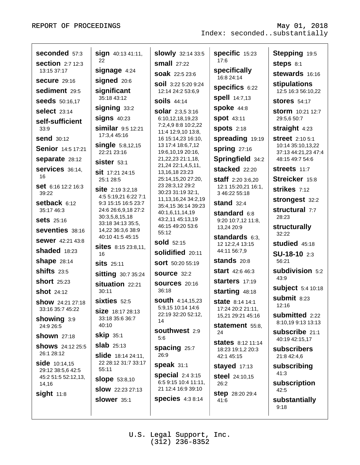| 17:6<br>22<br><b>small</b> 27:22<br><b>section</b> 2:7 12:3<br><b>steps</b> 8:1<br>specifically<br>signage 4:24<br>13:15 37:17<br>stewards 16:16<br><b>soak</b> 22:5 23:6<br>16:8 24:14<br>signed 20:6<br><b>Secure</b> 29:16<br><b>soil</b> 3:22 5:20 9:24<br>stipulations<br><b>specifics 6:22</b><br>significant<br>sediment 29:5<br>12:14 24:2 53:6,9<br><b>spell</b> 14:7,13<br>35:18 43:12<br><b>soils</b> 44:14<br><b>seeds</b> 50:16,17<br><b>stores</b> 54:17<br>spoke 44:8<br>signing 33:2<br><b>select</b> 23:14<br><b>solar</b> 2:3,5 3:16<br><b>storm</b> 10:21 12:7<br><b>signs 40:23</b><br><b>spot</b> 43:11<br>29:5,6 50:7<br>6:10,12,18,19,23<br>self-sufficient<br>7:2,4,9 8:8 10:2,22<br><b>similar</b> 9:5 12:21<br><b>spots</b> 2:18<br>straight 4:23<br>33:9<br>11:4 12:9,10 13:8,<br>17:3,4 45:16<br><b>send</b> 30:12<br>spreading 19:19<br>16 15:14,23 16:10,<br><b>street</b> 2:10 5:1<br><b>single</b> 5:8,12,15<br>13 17:4 18:6,7,12<br>10:14 35:10,13,22<br><b>Senior</b> 14:5 17:21<br>spring $27:16$<br>22:21 23:16<br>19:6,10,19 20:16,<br>37:13 44:21,23 47:4<br>Springfield 34:2<br>separate 28:12<br>21, 22, 23 21: 1, 18,<br>48:15 49:7 54:6<br>Sister 53:1<br>21,24 22:1,4,5,11,<br>stacked 22:20<br>Services 36:14,<br>Streets 11:7<br>Sit 17:21 24:15<br>13, 16, 18 23: 23<br>16<br>Streicker 15:8<br>25:14,15,20 27:20,<br><b>staff</b> 2:20 3:6,20<br>25:1 28:5<br>23 28:3,12 29:2<br>Set 6:16 12:2 16:3<br>12:1 15:20,21 16:1,<br>strikes 7:12<br><b>site</b> 2:19 3:2,18<br>30:23 31:19 32:1,<br>39:22<br>3 46:22 55:18<br>4:5 5:19,21 6:22 7:1<br>11, 13, 16, 24 34: 2, 19<br>strongest 32:2<br>setback 6:12<br>stand $32:4$<br>9:3 15:15 16:5 23:7<br>35:4,15 36:14 39:23<br>structural 7:7<br>35:17 46:3<br>24:6 26:6,9,18 27:2<br>40:1,6,11,14,19<br>standard 6:8<br>28:23<br>30:3,5,8,15,18<br>43:2,11 45:13,19<br><b>Sets</b> 25:16<br>9:20 10:7,12 11:8,<br>33:18 34:13 35:5,<br>46:15 49:20 53:6<br>structurally<br>13,24 20:9<br>Seventies 38:16<br>14,22 36:3,6 38:9<br>55:12<br>32:22 | seconded 57:3           | <b>sign</b> 40:13 41:11, | <b>slowly</b> 32:14 33:5 | <b>specific</b> 15:23 | Stepping 19:5            |
|----------------------------------------------------------------------------------------------------------------------------------------------------------------------------------------------------------------------------------------------------------------------------------------------------------------------------------------------------------------------------------------------------------------------------------------------------------------------------------------------------------------------------------------------------------------------------------------------------------------------------------------------------------------------------------------------------------------------------------------------------------------------------------------------------------------------------------------------------------------------------------------------------------------------------------------------------------------------------------------------------------------------------------------------------------------------------------------------------------------------------------------------------------------------------------------------------------------------------------------------------------------------------------------------------------------------------------------------------------------------------------------------------------------------------------------------------------------------------------------------------------------------------------------------------------------------------------------------------------------------------------------------------------------------------------------------------------------------------------------------------------------------------------------------------------------------------------------------------------------------------------------------------------------------------------------------------------------------------------------------------------------------------------------------|-------------------------|--------------------------|--------------------------|-----------------------|--------------------------|
|                                                                                                                                                                                                                                                                                                                                                                                                                                                                                                                                                                                                                                                                                                                                                                                                                                                                                                                                                                                                                                                                                                                                                                                                                                                                                                                                                                                                                                                                                                                                                                                                                                                                                                                                                                                                                                                                                                                                                                                                                                              |                         |                          |                          |                       |                          |
|                                                                                                                                                                                                                                                                                                                                                                                                                                                                                                                                                                                                                                                                                                                                                                                                                                                                                                                                                                                                                                                                                                                                                                                                                                                                                                                                                                                                                                                                                                                                                                                                                                                                                                                                                                                                                                                                                                                                                                                                                                              |                         |                          |                          |                       |                          |
|                                                                                                                                                                                                                                                                                                                                                                                                                                                                                                                                                                                                                                                                                                                                                                                                                                                                                                                                                                                                                                                                                                                                                                                                                                                                                                                                                                                                                                                                                                                                                                                                                                                                                                                                                                                                                                                                                                                                                                                                                                              |                         |                          |                          |                       |                          |
|                                                                                                                                                                                                                                                                                                                                                                                                                                                                                                                                                                                                                                                                                                                                                                                                                                                                                                                                                                                                                                                                                                                                                                                                                                                                                                                                                                                                                                                                                                                                                                                                                                                                                                                                                                                                                                                                                                                                                                                                                                              |                         |                          |                          |                       | 12:5 16:3 56:10,22       |
|                                                                                                                                                                                                                                                                                                                                                                                                                                                                                                                                                                                                                                                                                                                                                                                                                                                                                                                                                                                                                                                                                                                                                                                                                                                                                                                                                                                                                                                                                                                                                                                                                                                                                                                                                                                                                                                                                                                                                                                                                                              |                         |                          |                          |                       |                          |
|                                                                                                                                                                                                                                                                                                                                                                                                                                                                                                                                                                                                                                                                                                                                                                                                                                                                                                                                                                                                                                                                                                                                                                                                                                                                                                                                                                                                                                                                                                                                                                                                                                                                                                                                                                                                                                                                                                                                                                                                                                              |                         |                          |                          |                       |                          |
|                                                                                                                                                                                                                                                                                                                                                                                                                                                                                                                                                                                                                                                                                                                                                                                                                                                                                                                                                                                                                                                                                                                                                                                                                                                                                                                                                                                                                                                                                                                                                                                                                                                                                                                                                                                                                                                                                                                                                                                                                                              |                         |                          |                          |                       |                          |
|                                                                                                                                                                                                                                                                                                                                                                                                                                                                                                                                                                                                                                                                                                                                                                                                                                                                                                                                                                                                                                                                                                                                                                                                                                                                                                                                                                                                                                                                                                                                                                                                                                                                                                                                                                                                                                                                                                                                                                                                                                              |                         |                          |                          |                       |                          |
|                                                                                                                                                                                                                                                                                                                                                                                                                                                                                                                                                                                                                                                                                                                                                                                                                                                                                                                                                                                                                                                                                                                                                                                                                                                                                                                                                                                                                                                                                                                                                                                                                                                                                                                                                                                                                                                                                                                                                                                                                                              |                         |                          |                          |                       |                          |
|                                                                                                                                                                                                                                                                                                                                                                                                                                                                                                                                                                                                                                                                                                                                                                                                                                                                                                                                                                                                                                                                                                                                                                                                                                                                                                                                                                                                                                                                                                                                                                                                                                                                                                                                                                                                                                                                                                                                                                                                                                              |                         |                          |                          |                       |                          |
|                                                                                                                                                                                                                                                                                                                                                                                                                                                                                                                                                                                                                                                                                                                                                                                                                                                                                                                                                                                                                                                                                                                                                                                                                                                                                                                                                                                                                                                                                                                                                                                                                                                                                                                                                                                                                                                                                                                                                                                                                                              |                         |                          |                          |                       |                          |
|                                                                                                                                                                                                                                                                                                                                                                                                                                                                                                                                                                                                                                                                                                                                                                                                                                                                                                                                                                                                                                                                                                                                                                                                                                                                                                                                                                                                                                                                                                                                                                                                                                                                                                                                                                                                                                                                                                                                                                                                                                              |                         |                          |                          |                       |                          |
|                                                                                                                                                                                                                                                                                                                                                                                                                                                                                                                                                                                                                                                                                                                                                                                                                                                                                                                                                                                                                                                                                                                                                                                                                                                                                                                                                                                                                                                                                                                                                                                                                                                                                                                                                                                                                                                                                                                                                                                                                                              |                         |                          |                          |                       |                          |
|                                                                                                                                                                                                                                                                                                                                                                                                                                                                                                                                                                                                                                                                                                                                                                                                                                                                                                                                                                                                                                                                                                                                                                                                                                                                                                                                                                                                                                                                                                                                                                                                                                                                                                                                                                                                                                                                                                                                                                                                                                              |                         |                          |                          |                       |                          |
|                                                                                                                                                                                                                                                                                                                                                                                                                                                                                                                                                                                                                                                                                                                                                                                                                                                                                                                                                                                                                                                                                                                                                                                                                                                                                                                                                                                                                                                                                                                                                                                                                                                                                                                                                                                                                                                                                                                                                                                                                                              |                         |                          |                          |                       |                          |
|                                                                                                                                                                                                                                                                                                                                                                                                                                                                                                                                                                                                                                                                                                                                                                                                                                                                                                                                                                                                                                                                                                                                                                                                                                                                                                                                                                                                                                                                                                                                                                                                                                                                                                                                                                                                                                                                                                                                                                                                                                              |                         |                          |                          |                       |                          |
|                                                                                                                                                                                                                                                                                                                                                                                                                                                                                                                                                                                                                                                                                                                                                                                                                                                                                                                                                                                                                                                                                                                                                                                                                                                                                                                                                                                                                                                                                                                                                                                                                                                                                                                                                                                                                                                                                                                                                                                                                                              |                         |                          |                          |                       |                          |
|                                                                                                                                                                                                                                                                                                                                                                                                                                                                                                                                                                                                                                                                                                                                                                                                                                                                                                                                                                                                                                                                                                                                                                                                                                                                                                                                                                                                                                                                                                                                                                                                                                                                                                                                                                                                                                                                                                                                                                                                                                              |                         |                          |                          |                       |                          |
| <b>sold</b> 52:15<br><b>studied</b> 45:18<br>12 12:2,4 13:15                                                                                                                                                                                                                                                                                                                                                                                                                                                                                                                                                                                                                                                                                                                                                                                                                                                                                                                                                                                                                                                                                                                                                                                                                                                                                                                                                                                                                                                                                                                                                                                                                                                                                                                                                                                                                                                                                                                                                                                 | <b>Sewer</b> 42:21 43:8 | 40:10 41:5 45:15         |                          | standards 6:3,        |                          |
| <b>Sites</b> $8:1523:8,11$ ,<br><b>shaded</b> 18:23<br>44:11 56:7,9<br>solidified 20:11<br>SU-18-10 2:3<br>16                                                                                                                                                                                                                                                                                                                                                                                                                                                                                                                                                                                                                                                                                                                                                                                                                                                                                                                                                                                                                                                                                                                                                                                                                                                                                                                                                                                                                                                                                                                                                                                                                                                                                                                                                                                                                                                                                                                                |                         |                          |                          |                       |                          |
| stands 20:8<br><b>shape</b> 28:14<br>56:21<br><b>sort</b> 50:20 55:19<br><b>SitS</b> 25:11                                                                                                                                                                                                                                                                                                                                                                                                                                                                                                                                                                                                                                                                                                                                                                                                                                                                                                                                                                                                                                                                                                                                                                                                                                                                                                                                                                                                                                                                                                                                                                                                                                                                                                                                                                                                                                                                                                                                                   |                         |                          |                          |                       |                          |
| <b>shifts</b> 23:5<br><b>start</b> 42:6 46:3<br>SOUICe 32:2<br><b>sitting</b> 30:7 35:24                                                                                                                                                                                                                                                                                                                                                                                                                                                                                                                                                                                                                                                                                                                                                                                                                                                                                                                                                                                                                                                                                                                                                                                                                                                                                                                                                                                                                                                                                                                                                                                                                                                                                                                                                                                                                                                                                                                                                     |                         |                          |                          |                       | subdivision 5:2          |
| 43:9<br><b>starters</b> 17:19<br><b>short</b> 25:23<br>situation 22:21<br><b>SOUICES 20:16</b>                                                                                                                                                                                                                                                                                                                                                                                                                                                                                                                                                                                                                                                                                                                                                                                                                                                                                                                                                                                                                                                                                                                                                                                                                                                                                                                                                                                                                                                                                                                                                                                                                                                                                                                                                                                                                                                                                                                                               |                         |                          |                          |                       |                          |
| 36:18<br>30:11<br>starting 48:18<br><b>shot</b> 24:12                                                                                                                                                                                                                                                                                                                                                                                                                                                                                                                                                                                                                                                                                                                                                                                                                                                                                                                                                                                                                                                                                                                                                                                                                                                                                                                                                                                                                                                                                                                                                                                                                                                                                                                                                                                                                                                                                                                                                                                        |                         |                          |                          |                       | <b>subject</b> 5:4 10:18 |
| submit 8:23<br><b>south</b> 4:14,15,23<br><b>sixties</b> 52:5<br><b>state</b> 8:14 14:1<br><b>show</b> 24:21 27:18                                                                                                                                                                                                                                                                                                                                                                                                                                                                                                                                                                                                                                                                                                                                                                                                                                                                                                                                                                                                                                                                                                                                                                                                                                                                                                                                                                                                                                                                                                                                                                                                                                                                                                                                                                                                                                                                                                                           |                         |                          |                          |                       |                          |
| 12:16<br>5:9,15 10:14 14:6<br>33:16 35:7 45:22<br>17:24 20:2 21:11,<br>Size 18:17 28:13<br>22:19 32:20 52:12,                                                                                                                                                                                                                                                                                                                                                                                                                                                                                                                                                                                                                                                                                                                                                                                                                                                                                                                                                                                                                                                                                                                                                                                                                                                                                                                                                                                                                                                                                                                                                                                                                                                                                                                                                                                                                                                                                                                                |                         |                          |                          |                       |                          |
| <b>submitted</b> 2:22<br>15,21 29:21 45:16<br>33:18 35:6 36:7<br>showing 3:9<br>14                                                                                                                                                                                                                                                                                                                                                                                                                                                                                                                                                                                                                                                                                                                                                                                                                                                                                                                                                                                                                                                                                                                                                                                                                                                                                                                                                                                                                                                                                                                                                                                                                                                                                                                                                                                                                                                                                                                                                           |                         |                          |                          |                       | 8:10,19 9:13 13:13       |
| 40:10<br><b>statement</b> 55:8,<br>24:9 26:5<br><b>southwest 2:9</b><br><b>subscribe</b> 21:1<br>24                                                                                                                                                                                                                                                                                                                                                                                                                                                                                                                                                                                                                                                                                                                                                                                                                                                                                                                                                                                                                                                                                                                                                                                                                                                                                                                                                                                                                                                                                                                                                                                                                                                                                                                                                                                                                                                                                                                                          |                         |                          |                          |                       |                          |
| <b>skip</b> 35:1<br><b>shown</b> 27:18<br>5:6<br>40:19 42:15,17<br><b>states</b> 8:12 11:14                                                                                                                                                                                                                                                                                                                                                                                                                                                                                                                                                                                                                                                                                                                                                                                                                                                                                                                                                                                                                                                                                                                                                                                                                                                                                                                                                                                                                                                                                                                                                                                                                                                                                                                                                                                                                                                                                                                                                  |                         |                          |                          |                       |                          |
| <b>slab</b> 25:13<br><b>shows</b> 24:12 25:5<br>spacing 25:7<br><b>subscribers</b><br>18:23 19:1,2 20:3<br>26:1 28:12<br>26:9                                                                                                                                                                                                                                                                                                                                                                                                                                                                                                                                                                                                                                                                                                                                                                                                                                                                                                                                                                                                                                                                                                                                                                                                                                                                                                                                                                                                                                                                                                                                                                                                                                                                                                                                                                                                                                                                                                                |                         |                          |                          |                       |                          |
| <b>slide</b> 18:14 24:11,<br>42:1 45:15<br>21:8 42:4,6<br>22 28:12 31:7 33:17<br><b>side</b> $10:14,15$<br><b>speak</b> 31:1                                                                                                                                                                                                                                                                                                                                                                                                                                                                                                                                                                                                                                                                                                                                                                                                                                                                                                                                                                                                                                                                                                                                                                                                                                                                                                                                                                                                                                                                                                                                                                                                                                                                                                                                                                                                                                                                                                                 |                         |                          |                          |                       |                          |
| subscribing<br>stayed 17:13<br>55:11<br>29:12 38:5,6 42:5<br>41:3                                                                                                                                                                                                                                                                                                                                                                                                                                                                                                                                                                                                                                                                                                                                                                                                                                                                                                                                                                                                                                                                                                                                                                                                                                                                                                                                                                                                                                                                                                                                                                                                                                                                                                                                                                                                                                                                                                                                                                            |                         |                          |                          |                       |                          |
| <b>special</b> $2:43:15$<br>steel 24:10,15<br>45:2 51:5 52:12,13,<br><b>slope</b> $53:8,10$<br>6:5 9:15 10:4 11:11,<br>subscription<br>26:2<br>14,16                                                                                                                                                                                                                                                                                                                                                                                                                                                                                                                                                                                                                                                                                                                                                                                                                                                                                                                                                                                                                                                                                                                                                                                                                                                                                                                                                                                                                                                                                                                                                                                                                                                                                                                                                                                                                                                                                         |                         |                          |                          |                       |                          |
| 21 12:4 16:9 39:10<br><b>Slow</b> 22:23 27:13<br>42:5<br>$sight$ 11:8<br><b>step</b> 28:20 29:4                                                                                                                                                                                                                                                                                                                                                                                                                                                                                                                                                                                                                                                                                                                                                                                                                                                                                                                                                                                                                                                                                                                                                                                                                                                                                                                                                                                                                                                                                                                                                                                                                                                                                                                                                                                                                                                                                                                                              |                         |                          |                          |                       |                          |
| <b>species</b> 4:3 8:14<br><b>slower</b> 35:1<br>substantially<br>41:6<br>9:18                                                                                                                                                                                                                                                                                                                                                                                                                                                                                                                                                                                                                                                                                                                                                                                                                                                                                                                                                                                                                                                                                                                                                                                                                                                                                                                                                                                                                                                                                                                                                                                                                                                                                                                                                                                                                                                                                                                                                               |                         |                          |                          |                       |                          |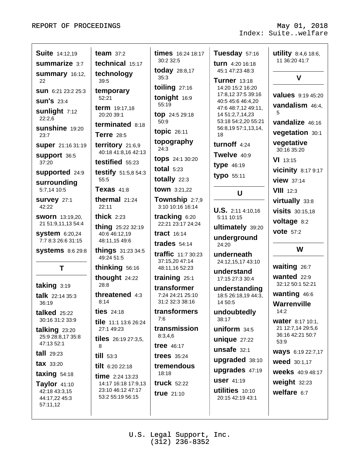| summarize 3:7<br>technical 15:17<br><b>turn</b> $4:20$ 16:18<br><b>today</b> 28:8,17<br>45:1 47:23 48:3<br>technology<br><b>Summary</b> 16:12,<br>$\mathbf v$<br>35:3<br>Turner 13:18<br>39:5<br>22<br>toiling 27:16<br>14:20 15:2 16:20<br>temporary<br>SUN 6:21 23:2 25:3<br>17:8,12 37:5 39:16<br><b>values</b> 9:19 45:20<br>tonight 16:9<br>52:21<br><b>SUN'S 23:4</b><br>40:5 45:6 46:4,20<br>55:19<br>vandalism 46:4,<br><b>term</b> 19:17,18<br>47:6 48:7,12 49:11,<br><b>sunlight</b> 7:12<br>5<br>20:20 39:1<br>top 24:5 29:18<br>14 51:2,7,14,23<br>22:2,6<br>50:9<br>53:18 54:2,20 55:21<br>vandalize 46:16<br>terminated 8:18<br><b>sunshine</b> 19:20<br>56:8,19 57:1,13,14,<br>topic $26:11$<br>vegetation 30:1<br><b>Terre</b> 28:5<br>18<br>23:7<br>topography<br>vegetative<br>turnoff 4:24<br>territory 21:6,9<br><b>Super</b> 21:16 31:19<br>24:3<br>30:16 35:20<br>40:18 41:8,16 42:13<br>Twelve 40:9<br><b>Support 36:5</b><br><b>tops</b> 24:1 30:20<br><b>VI</b> 13:15<br>testified 55:23<br>37:20<br>type 46:19<br>total $5:23$<br><b>vicinity</b> 8:17 9:17<br>supported 24:9<br><b>testify</b> 51:5,8 54:3<br>typo 55:11<br>totally 22:3<br>55:5<br><b>view</b> 37:14<br>surrounding<br>Texas $41:8$<br>town 3:21,22<br>5:7,14 10:5<br>$VIII$ 12:3<br>U<br>thermal $21:24$<br>Township 2:7,9<br><b>SUIVEY 27:1</b><br>virtually 33:8<br>3:10 10:16 16:14<br>42:22<br>22:11<br><b>U.S.</b> 2:11 4:10,16<br><b>visits</b> 30:15,18<br>thick $2:23$<br>tracking 6:20<br><b>SWOrn</b> 13:19,20,<br>5:11 10:15<br>voltage 8:2<br>22:21 23:17 24:24<br>21 51:9,11,13 54:4<br><b>thing</b> 25:22 32:19<br>ultimately 39:20<br><b>vote</b> 57:2<br><b>system</b> 6:20,24<br>tract $16:14$<br>40:6 46:12,19<br>underground<br>7:7 8:3 26:6 31:15<br>48:11,15 49:6<br>trades $54:14$<br>24:20<br>W<br>things 31:23 34:5<br><b>systems</b> 8:6 29:8<br><b>traffic</b> 11:7 30:23<br>underneath<br>49:24 51:5<br>37:15,20 47:14<br>24:12,15,17 43:10<br>waiting 26:7<br>thinking 56:16<br>Τ<br>48:11,16 52:23<br>understand<br>wanted $22:9$<br>thought 24:22<br>training $25:1$<br>17:15 27:3 30:4<br>32:12 50:1 52:21<br>28:8<br>taking 3:19<br>transformer<br>understanding<br>wanting 46:6<br>threatened 4:3<br>7:24 24:21 25:10<br><b>talk</b> $22:1435:3$<br>18:5 26:18,19 44:3,<br>8:14<br>31:2 32:3 38:16<br>14 50:5<br>36:19<br>Warrenville<br>14:2<br>transformers<br><b>ties</b> $24:18$<br>undoubtedly<br>talked $25:22$<br>7:6<br>38:17<br>30:16 31:2 33:9<br><b>water</b> 8:17 10:1,<br>tile 11:1 13:6 26:24<br>transmission<br>21 12:7,14 29:5,6<br>uniform $34:5$<br>27:1 49:23<br>talking $23:20$<br>36:16 42:21 50:7<br>8:3,4,6<br>25:9 28:8,17 35:8<br><b>tiles</b> $26:1927:3,5$<br>unique $27:22$<br>53:9<br>47:13 52:1<br>tree $46:17$<br>8<br>unsafe 32:1<br><b>Ways</b> 6:19 22:7,17<br>$tall$ 29:23<br>till 53:3<br>trees $35:24$<br>upgraded 38:10<br><b>weed</b> 30:1,17<br>tax 33:20<br>tilt 6:20 22:18<br>tremendous<br>upgrades 47:19<br><b>weeks</b> 40:9 48:17<br>18:18<br>taxing $54:18$<br><b>time</b> $2:24$ 13:23<br><b>USer</b> 41:19<br>weight 32:23<br><b>truck</b> 52:22<br>14:17 16:18 17:9,13<br>Taylor 41:10 | <b>Suite</b> 14:12,19 | team $37:2$       | times 16:24 18:17 | Tuesday 57:16   | utility 8:4,6 18:6, |
|------------------------------------------------------------------------------------------------------------------------------------------------------------------------------------------------------------------------------------------------------------------------------------------------------------------------------------------------------------------------------------------------------------------------------------------------------------------------------------------------------------------------------------------------------------------------------------------------------------------------------------------------------------------------------------------------------------------------------------------------------------------------------------------------------------------------------------------------------------------------------------------------------------------------------------------------------------------------------------------------------------------------------------------------------------------------------------------------------------------------------------------------------------------------------------------------------------------------------------------------------------------------------------------------------------------------------------------------------------------------------------------------------------------------------------------------------------------------------------------------------------------------------------------------------------------------------------------------------------------------------------------------------------------------------------------------------------------------------------------------------------------------------------------------------------------------------------------------------------------------------------------------------------------------------------------------------------------------------------------------------------------------------------------------------------------------------------------------------------------------------------------------------------------------------------------------------------------------------------------------------------------------------------------------------------------------------------------------------------------------------------------------------------------------------------------------------------------------------------------------------------------------------------------------------------------------------------------------------------------------------------------------------------------------------------------------------------------------------------------------------------------------------------------------------------------------------------------------------------------------------------------------------------------------------------------------------------------------------------------------------------------------------------------------------------------------------------------------------------------------------------------------------------------------|-----------------------|-------------------|-------------------|-----------------|---------------------|
|                                                                                                                                                                                                                                                                                                                                                                                                                                                                                                                                                                                                                                                                                                                                                                                                                                                                                                                                                                                                                                                                                                                                                                                                                                                                                                                                                                                                                                                                                                                                                                                                                                                                                                                                                                                                                                                                                                                                                                                                                                                                                                                                                                                                                                                                                                                                                                                                                                                                                                                                                                                                                                                                                                                                                                                                                                                                                                                                                                                                                                                                                                                                                                        |                       |                   | 30:2 32:5         |                 | 11 36:20 41:7       |
|                                                                                                                                                                                                                                                                                                                                                                                                                                                                                                                                                                                                                                                                                                                                                                                                                                                                                                                                                                                                                                                                                                                                                                                                                                                                                                                                                                                                                                                                                                                                                                                                                                                                                                                                                                                                                                                                                                                                                                                                                                                                                                                                                                                                                                                                                                                                                                                                                                                                                                                                                                                                                                                                                                                                                                                                                                                                                                                                                                                                                                                                                                                                                                        |                       |                   |                   |                 |                     |
|                                                                                                                                                                                                                                                                                                                                                                                                                                                                                                                                                                                                                                                                                                                                                                                                                                                                                                                                                                                                                                                                                                                                                                                                                                                                                                                                                                                                                                                                                                                                                                                                                                                                                                                                                                                                                                                                                                                                                                                                                                                                                                                                                                                                                                                                                                                                                                                                                                                                                                                                                                                                                                                                                                                                                                                                                                                                                                                                                                                                                                                                                                                                                                        |                       |                   |                   |                 |                     |
|                                                                                                                                                                                                                                                                                                                                                                                                                                                                                                                                                                                                                                                                                                                                                                                                                                                                                                                                                                                                                                                                                                                                                                                                                                                                                                                                                                                                                                                                                                                                                                                                                                                                                                                                                                                                                                                                                                                                                                                                                                                                                                                                                                                                                                                                                                                                                                                                                                                                                                                                                                                                                                                                                                                                                                                                                                                                                                                                                                                                                                                                                                                                                                        |                       |                   |                   |                 |                     |
|                                                                                                                                                                                                                                                                                                                                                                                                                                                                                                                                                                                                                                                                                                                                                                                                                                                                                                                                                                                                                                                                                                                                                                                                                                                                                                                                                                                                                                                                                                                                                                                                                                                                                                                                                                                                                                                                                                                                                                                                                                                                                                                                                                                                                                                                                                                                                                                                                                                                                                                                                                                                                                                                                                                                                                                                                                                                                                                                                                                                                                                                                                                                                                        |                       |                   |                   |                 |                     |
|                                                                                                                                                                                                                                                                                                                                                                                                                                                                                                                                                                                                                                                                                                                                                                                                                                                                                                                                                                                                                                                                                                                                                                                                                                                                                                                                                                                                                                                                                                                                                                                                                                                                                                                                                                                                                                                                                                                                                                                                                                                                                                                                                                                                                                                                                                                                                                                                                                                                                                                                                                                                                                                                                                                                                                                                                                                                                                                                                                                                                                                                                                                                                                        |                       |                   |                   |                 |                     |
|                                                                                                                                                                                                                                                                                                                                                                                                                                                                                                                                                                                                                                                                                                                                                                                                                                                                                                                                                                                                                                                                                                                                                                                                                                                                                                                                                                                                                                                                                                                                                                                                                                                                                                                                                                                                                                                                                                                                                                                                                                                                                                                                                                                                                                                                                                                                                                                                                                                                                                                                                                                                                                                                                                                                                                                                                                                                                                                                                                                                                                                                                                                                                                        |                       |                   |                   |                 |                     |
|                                                                                                                                                                                                                                                                                                                                                                                                                                                                                                                                                                                                                                                                                                                                                                                                                                                                                                                                                                                                                                                                                                                                                                                                                                                                                                                                                                                                                                                                                                                                                                                                                                                                                                                                                                                                                                                                                                                                                                                                                                                                                                                                                                                                                                                                                                                                                                                                                                                                                                                                                                                                                                                                                                                                                                                                                                                                                                                                                                                                                                                                                                                                                                        |                       |                   |                   |                 |                     |
|                                                                                                                                                                                                                                                                                                                                                                                                                                                                                                                                                                                                                                                                                                                                                                                                                                                                                                                                                                                                                                                                                                                                                                                                                                                                                                                                                                                                                                                                                                                                                                                                                                                                                                                                                                                                                                                                                                                                                                                                                                                                                                                                                                                                                                                                                                                                                                                                                                                                                                                                                                                                                                                                                                                                                                                                                                                                                                                                                                                                                                                                                                                                                                        |                       |                   |                   |                 |                     |
|                                                                                                                                                                                                                                                                                                                                                                                                                                                                                                                                                                                                                                                                                                                                                                                                                                                                                                                                                                                                                                                                                                                                                                                                                                                                                                                                                                                                                                                                                                                                                                                                                                                                                                                                                                                                                                                                                                                                                                                                                                                                                                                                                                                                                                                                                                                                                                                                                                                                                                                                                                                                                                                                                                                                                                                                                                                                                                                                                                                                                                                                                                                                                                        |                       |                   |                   |                 |                     |
|                                                                                                                                                                                                                                                                                                                                                                                                                                                                                                                                                                                                                                                                                                                                                                                                                                                                                                                                                                                                                                                                                                                                                                                                                                                                                                                                                                                                                                                                                                                                                                                                                                                                                                                                                                                                                                                                                                                                                                                                                                                                                                                                                                                                                                                                                                                                                                                                                                                                                                                                                                                                                                                                                                                                                                                                                                                                                                                                                                                                                                                                                                                                                                        |                       |                   |                   |                 |                     |
|                                                                                                                                                                                                                                                                                                                                                                                                                                                                                                                                                                                                                                                                                                                                                                                                                                                                                                                                                                                                                                                                                                                                                                                                                                                                                                                                                                                                                                                                                                                                                                                                                                                                                                                                                                                                                                                                                                                                                                                                                                                                                                                                                                                                                                                                                                                                                                                                                                                                                                                                                                                                                                                                                                                                                                                                                                                                                                                                                                                                                                                                                                                                                                        |                       |                   |                   |                 |                     |
|                                                                                                                                                                                                                                                                                                                                                                                                                                                                                                                                                                                                                                                                                                                                                                                                                                                                                                                                                                                                                                                                                                                                                                                                                                                                                                                                                                                                                                                                                                                                                                                                                                                                                                                                                                                                                                                                                                                                                                                                                                                                                                                                                                                                                                                                                                                                                                                                                                                                                                                                                                                                                                                                                                                                                                                                                                                                                                                                                                                                                                                                                                                                                                        |                       |                   |                   |                 |                     |
|                                                                                                                                                                                                                                                                                                                                                                                                                                                                                                                                                                                                                                                                                                                                                                                                                                                                                                                                                                                                                                                                                                                                                                                                                                                                                                                                                                                                                                                                                                                                                                                                                                                                                                                                                                                                                                                                                                                                                                                                                                                                                                                                                                                                                                                                                                                                                                                                                                                                                                                                                                                                                                                                                                                                                                                                                                                                                                                                                                                                                                                                                                                                                                        |                       |                   |                   |                 |                     |
|                                                                                                                                                                                                                                                                                                                                                                                                                                                                                                                                                                                                                                                                                                                                                                                                                                                                                                                                                                                                                                                                                                                                                                                                                                                                                                                                                                                                                                                                                                                                                                                                                                                                                                                                                                                                                                                                                                                                                                                                                                                                                                                                                                                                                                                                                                                                                                                                                                                                                                                                                                                                                                                                                                                                                                                                                                                                                                                                                                                                                                                                                                                                                                        |                       |                   |                   |                 |                     |
|                                                                                                                                                                                                                                                                                                                                                                                                                                                                                                                                                                                                                                                                                                                                                                                                                                                                                                                                                                                                                                                                                                                                                                                                                                                                                                                                                                                                                                                                                                                                                                                                                                                                                                                                                                                                                                                                                                                                                                                                                                                                                                                                                                                                                                                                                                                                                                                                                                                                                                                                                                                                                                                                                                                                                                                                                                                                                                                                                                                                                                                                                                                                                                        |                       |                   |                   |                 |                     |
|                                                                                                                                                                                                                                                                                                                                                                                                                                                                                                                                                                                                                                                                                                                                                                                                                                                                                                                                                                                                                                                                                                                                                                                                                                                                                                                                                                                                                                                                                                                                                                                                                                                                                                                                                                                                                                                                                                                                                                                                                                                                                                                                                                                                                                                                                                                                                                                                                                                                                                                                                                                                                                                                                                                                                                                                                                                                                                                                                                                                                                                                                                                                                                        |                       |                   |                   |                 |                     |
|                                                                                                                                                                                                                                                                                                                                                                                                                                                                                                                                                                                                                                                                                                                                                                                                                                                                                                                                                                                                                                                                                                                                                                                                                                                                                                                                                                                                                                                                                                                                                                                                                                                                                                                                                                                                                                                                                                                                                                                                                                                                                                                                                                                                                                                                                                                                                                                                                                                                                                                                                                                                                                                                                                                                                                                                                                                                                                                                                                                                                                                                                                                                                                        |                       |                   |                   |                 |                     |
|                                                                                                                                                                                                                                                                                                                                                                                                                                                                                                                                                                                                                                                                                                                                                                                                                                                                                                                                                                                                                                                                                                                                                                                                                                                                                                                                                                                                                                                                                                                                                                                                                                                                                                                                                                                                                                                                                                                                                                                                                                                                                                                                                                                                                                                                                                                                                                                                                                                                                                                                                                                                                                                                                                                                                                                                                                                                                                                                                                                                                                                                                                                                                                        |                       |                   |                   |                 |                     |
|                                                                                                                                                                                                                                                                                                                                                                                                                                                                                                                                                                                                                                                                                                                                                                                                                                                                                                                                                                                                                                                                                                                                                                                                                                                                                                                                                                                                                                                                                                                                                                                                                                                                                                                                                                                                                                                                                                                                                                                                                                                                                                                                                                                                                                                                                                                                                                                                                                                                                                                                                                                                                                                                                                                                                                                                                                                                                                                                                                                                                                                                                                                                                                        |                       |                   |                   |                 |                     |
|                                                                                                                                                                                                                                                                                                                                                                                                                                                                                                                                                                                                                                                                                                                                                                                                                                                                                                                                                                                                                                                                                                                                                                                                                                                                                                                                                                                                                                                                                                                                                                                                                                                                                                                                                                                                                                                                                                                                                                                                                                                                                                                                                                                                                                                                                                                                                                                                                                                                                                                                                                                                                                                                                                                                                                                                                                                                                                                                                                                                                                                                                                                                                                        |                       |                   |                   |                 |                     |
|                                                                                                                                                                                                                                                                                                                                                                                                                                                                                                                                                                                                                                                                                                                                                                                                                                                                                                                                                                                                                                                                                                                                                                                                                                                                                                                                                                                                                                                                                                                                                                                                                                                                                                                                                                                                                                                                                                                                                                                                                                                                                                                                                                                                                                                                                                                                                                                                                                                                                                                                                                                                                                                                                                                                                                                                                                                                                                                                                                                                                                                                                                                                                                        |                       |                   |                   |                 |                     |
|                                                                                                                                                                                                                                                                                                                                                                                                                                                                                                                                                                                                                                                                                                                                                                                                                                                                                                                                                                                                                                                                                                                                                                                                                                                                                                                                                                                                                                                                                                                                                                                                                                                                                                                                                                                                                                                                                                                                                                                                                                                                                                                                                                                                                                                                                                                                                                                                                                                                                                                                                                                                                                                                                                                                                                                                                                                                                                                                                                                                                                                                                                                                                                        |                       |                   |                   |                 |                     |
|                                                                                                                                                                                                                                                                                                                                                                                                                                                                                                                                                                                                                                                                                                                                                                                                                                                                                                                                                                                                                                                                                                                                                                                                                                                                                                                                                                                                                                                                                                                                                                                                                                                                                                                                                                                                                                                                                                                                                                                                                                                                                                                                                                                                                                                                                                                                                                                                                                                                                                                                                                                                                                                                                                                                                                                                                                                                                                                                                                                                                                                                                                                                                                        |                       |                   |                   |                 |                     |
|                                                                                                                                                                                                                                                                                                                                                                                                                                                                                                                                                                                                                                                                                                                                                                                                                                                                                                                                                                                                                                                                                                                                                                                                                                                                                                                                                                                                                                                                                                                                                                                                                                                                                                                                                                                                                                                                                                                                                                                                                                                                                                                                                                                                                                                                                                                                                                                                                                                                                                                                                                                                                                                                                                                                                                                                                                                                                                                                                                                                                                                                                                                                                                        |                       |                   |                   |                 |                     |
|                                                                                                                                                                                                                                                                                                                                                                                                                                                                                                                                                                                                                                                                                                                                                                                                                                                                                                                                                                                                                                                                                                                                                                                                                                                                                                                                                                                                                                                                                                                                                                                                                                                                                                                                                                                                                                                                                                                                                                                                                                                                                                                                                                                                                                                                                                                                                                                                                                                                                                                                                                                                                                                                                                                                                                                                                                                                                                                                                                                                                                                                                                                                                                        |                       |                   |                   |                 |                     |
|                                                                                                                                                                                                                                                                                                                                                                                                                                                                                                                                                                                                                                                                                                                                                                                                                                                                                                                                                                                                                                                                                                                                                                                                                                                                                                                                                                                                                                                                                                                                                                                                                                                                                                                                                                                                                                                                                                                                                                                                                                                                                                                                                                                                                                                                                                                                                                                                                                                                                                                                                                                                                                                                                                                                                                                                                                                                                                                                                                                                                                                                                                                                                                        |                       |                   |                   |                 |                     |
|                                                                                                                                                                                                                                                                                                                                                                                                                                                                                                                                                                                                                                                                                                                                                                                                                                                                                                                                                                                                                                                                                                                                                                                                                                                                                                                                                                                                                                                                                                                                                                                                                                                                                                                                                                                                                                                                                                                                                                                                                                                                                                                                                                                                                                                                                                                                                                                                                                                                                                                                                                                                                                                                                                                                                                                                                                                                                                                                                                                                                                                                                                                                                                        |                       |                   |                   |                 |                     |
|                                                                                                                                                                                                                                                                                                                                                                                                                                                                                                                                                                                                                                                                                                                                                                                                                                                                                                                                                                                                                                                                                                                                                                                                                                                                                                                                                                                                                                                                                                                                                                                                                                                                                                                                                                                                                                                                                                                                                                                                                                                                                                                                                                                                                                                                                                                                                                                                                                                                                                                                                                                                                                                                                                                                                                                                                                                                                                                                                                                                                                                                                                                                                                        |                       |                   |                   |                 |                     |
|                                                                                                                                                                                                                                                                                                                                                                                                                                                                                                                                                                                                                                                                                                                                                                                                                                                                                                                                                                                                                                                                                                                                                                                                                                                                                                                                                                                                                                                                                                                                                                                                                                                                                                                                                                                                                                                                                                                                                                                                                                                                                                                                                                                                                                                                                                                                                                                                                                                                                                                                                                                                                                                                                                                                                                                                                                                                                                                                                                                                                                                                                                                                                                        |                       |                   |                   |                 |                     |
|                                                                                                                                                                                                                                                                                                                                                                                                                                                                                                                                                                                                                                                                                                                                                                                                                                                                                                                                                                                                                                                                                                                                                                                                                                                                                                                                                                                                                                                                                                                                                                                                                                                                                                                                                                                                                                                                                                                                                                                                                                                                                                                                                                                                                                                                                                                                                                                                                                                                                                                                                                                                                                                                                                                                                                                                                                                                                                                                                                                                                                                                                                                                                                        |                       |                   |                   |                 |                     |
| <b>true</b> 21:10<br>53:2 55:19 56:15<br>20:15 42:19 43:1<br>44:17,22 45:3<br>57:11,12                                                                                                                                                                                                                                                                                                                                                                                                                                                                                                                                                                                                                                                                                                                                                                                                                                                                                                                                                                                                                                                                                                                                                                                                                                                                                                                                                                                                                                                                                                                                                                                                                                                                                                                                                                                                                                                                                                                                                                                                                                                                                                                                                                                                                                                                                                                                                                                                                                                                                                                                                                                                                                                                                                                                                                                                                                                                                                                                                                                                                                                                                 | 42:18 43:3,15         | 23:10 46:12 47:17 |                   | utilities 10:10 | welfare $6:7$       |